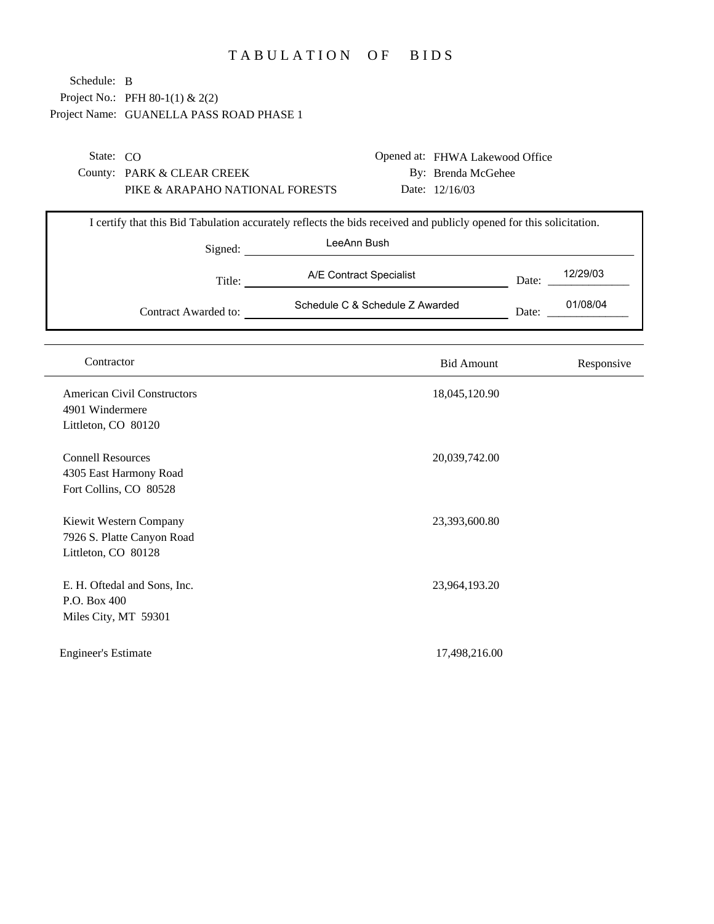## TABULATION OF BIDS

| Schedule: B<br>Project No.: PFH 80-1(1) & 2(2)        |                                 |                                                                                                                                    |                                                                         |       |            |
|-------------------------------------------------------|---------------------------------|------------------------------------------------------------------------------------------------------------------------------------|-------------------------------------------------------------------------|-------|------------|
| Project Name: GUANELLA PASS ROAD PHASE 1              |                                 |                                                                                                                                    |                                                                         |       |            |
| State: CO<br>County: PARK & CLEAR CREEK               | PIKE & ARAPAHO NATIONAL FORESTS |                                                                                                                                    | Opened at: FHWA Lakewood Office<br>By: Brenda McGehee<br>Date: 12/16/03 |       |            |
|                                                       | Signed:                         | I certify that this Bid Tabulation accurately reflects the bids received and publicly opened for this solicitation.<br>LeeAnn Bush |                                                                         |       |            |
|                                                       | Title:                          | A/E Contract Specialist                                                                                                            |                                                                         | Date: | 12/29/03   |
|                                                       | Contract Awarded to:            | Schedule C & Schedule Z Awarded                                                                                                    |                                                                         | Date: | 01/08/04   |
|                                                       |                                 |                                                                                                                                    |                                                                         |       |            |
| Contractor                                            |                                 |                                                                                                                                    | <b>Bid Amount</b>                                                       |       | Responsive |
| <b>American Civil Constructors</b><br>4901 Windermere |                                 |                                                                                                                                    | 18,045,120.90                                                           |       |            |
| Littleton, CO 80120                                   |                                 |                                                                                                                                    |                                                                         |       |            |
| <b>Connell Resources</b><br>4305 East Harmony Road    |                                 |                                                                                                                                    | 20,039,742.00                                                           |       |            |
| Fort Collins, CO 80528                                |                                 |                                                                                                                                    |                                                                         |       |            |
| Kiewit Western Company<br>7926 S. Platte Canyon Road  |                                 |                                                                                                                                    | 23,393,600.80                                                           |       |            |
| Littleton, CO 80128                                   |                                 |                                                                                                                                    |                                                                         |       |            |
| E. H. Oftedal and Sons, Inc.                          |                                 |                                                                                                                                    | 23,964,193.20                                                           |       |            |
| P.O. Box 400<br>Miles City, MT 59301                  |                                 |                                                                                                                                    |                                                                         |       |            |
| <b>Engineer's Estimate</b>                            |                                 |                                                                                                                                    | 17,498,216.00                                                           |       |            |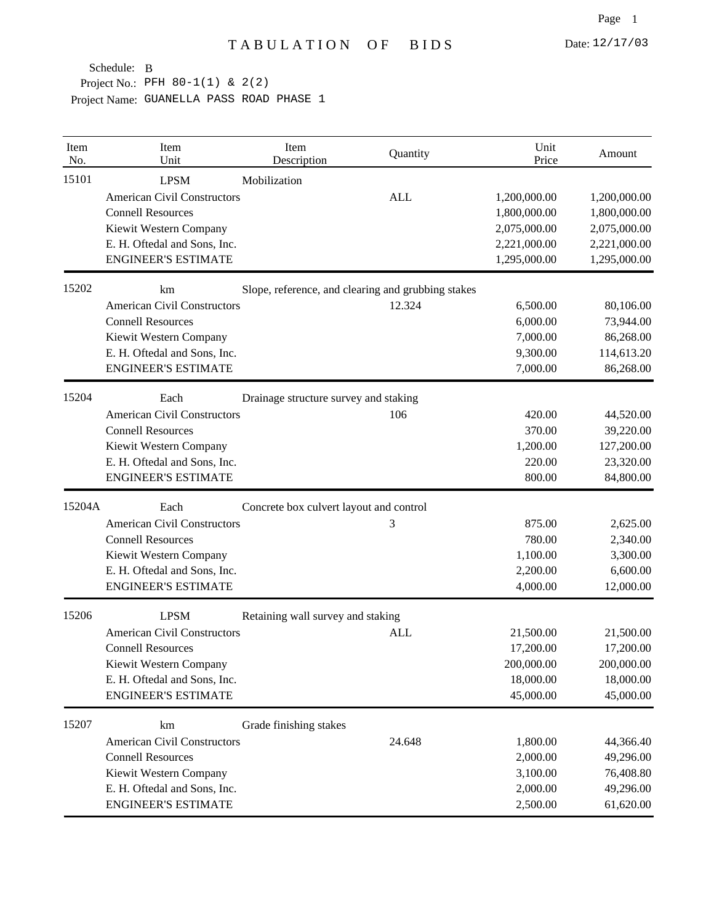| Item<br>No. | Item<br>Unit                       | Item<br>Description                                | Quantity   | Unit<br>Price | Amount       |
|-------------|------------------------------------|----------------------------------------------------|------------|---------------|--------------|
| 15101       | <b>LPSM</b>                        | Mobilization                                       |            |               |              |
|             | <b>American Civil Constructors</b> |                                                    | <b>ALL</b> | 1,200,000.00  | 1,200,000.00 |
|             | <b>Connell Resources</b>           |                                                    |            | 1,800,000.00  | 1,800,000.00 |
|             | Kiewit Western Company             |                                                    |            | 2,075,000.00  | 2,075,000.00 |
|             | E. H. Oftedal and Sons, Inc.       |                                                    |            | 2,221,000.00  | 2,221,000.00 |
|             | <b>ENGINEER'S ESTIMATE</b>         |                                                    |            | 1,295,000.00  | 1,295,000.00 |
| 15202       | km                                 | Slope, reference, and clearing and grubbing stakes |            |               |              |
|             | <b>American Civil Constructors</b> |                                                    | 12.324     | 6,500.00      | 80,106.00    |
|             | <b>Connell Resources</b>           |                                                    |            | 6,000.00      | 73,944.00    |
|             | Kiewit Western Company             |                                                    |            | 7,000.00      | 86,268.00    |
|             | E. H. Oftedal and Sons, Inc.       |                                                    |            | 9,300.00      | 114,613.20   |
|             | <b>ENGINEER'S ESTIMATE</b>         |                                                    |            | 7,000.00      | 86,268.00    |
| 15204       | Each                               | Drainage structure survey and staking              |            |               |              |
|             | <b>American Civil Constructors</b> |                                                    | 106        | 420.00        | 44,520.00    |
|             | <b>Connell Resources</b>           |                                                    |            | 370.00        | 39,220.00    |
|             | Kiewit Western Company             |                                                    |            | 1,200.00      | 127,200.00   |
|             | E. H. Oftedal and Sons, Inc.       |                                                    |            | 220.00        | 23,320.00    |
|             | <b>ENGINEER'S ESTIMATE</b>         |                                                    |            | 800.00        | 84,800.00    |
| 15204A      | Each                               | Concrete box culvert layout and control            |            |               |              |
|             | <b>American Civil Constructors</b> |                                                    | 3          | 875.00        | 2,625.00     |
|             | <b>Connell Resources</b>           |                                                    |            | 780.00        | 2,340.00     |
|             | Kiewit Western Company             |                                                    |            | 1,100.00      | 3,300.00     |
|             | E. H. Oftedal and Sons, Inc.       |                                                    |            | 2,200.00      | 6,600.00     |
|             | <b>ENGINEER'S ESTIMATE</b>         |                                                    |            | 4,000.00      | 12,000.00    |
| 15206       | <b>LPSM</b>                        | Retaining wall survey and staking                  |            |               |              |
|             | <b>American Civil Constructors</b> |                                                    | <b>ALL</b> | 21,500.00     | 21,500.00    |
|             | <b>Connell Resources</b>           |                                                    |            | 17,200.00     | 17,200.00    |
|             | Kiewit Western Company             |                                                    |            | 200,000.00    | 200,000.00   |
|             | E. H. Oftedal and Sons, Inc.       |                                                    |            | 18,000.00     | 18,000.00    |
|             | <b>ENGINEER'S ESTIMATE</b>         |                                                    |            | 45,000.00     | 45,000.00    |
| 15207       | km                                 | Grade finishing stakes                             |            |               |              |
|             | <b>American Civil Constructors</b> |                                                    | 24.648     | 1,800.00      | 44,366.40    |
|             | <b>Connell Resources</b>           |                                                    |            | 2,000.00      | 49,296.00    |
|             | Kiewit Western Company             |                                                    |            | 3,100.00      | 76,408.80    |
|             | E. H. Oftedal and Sons, Inc.       |                                                    |            | 2,000.00      | 49,296.00    |
|             | <b>ENGINEER'S ESTIMATE</b>         |                                                    |            | 2,500.00      | 61,620.00    |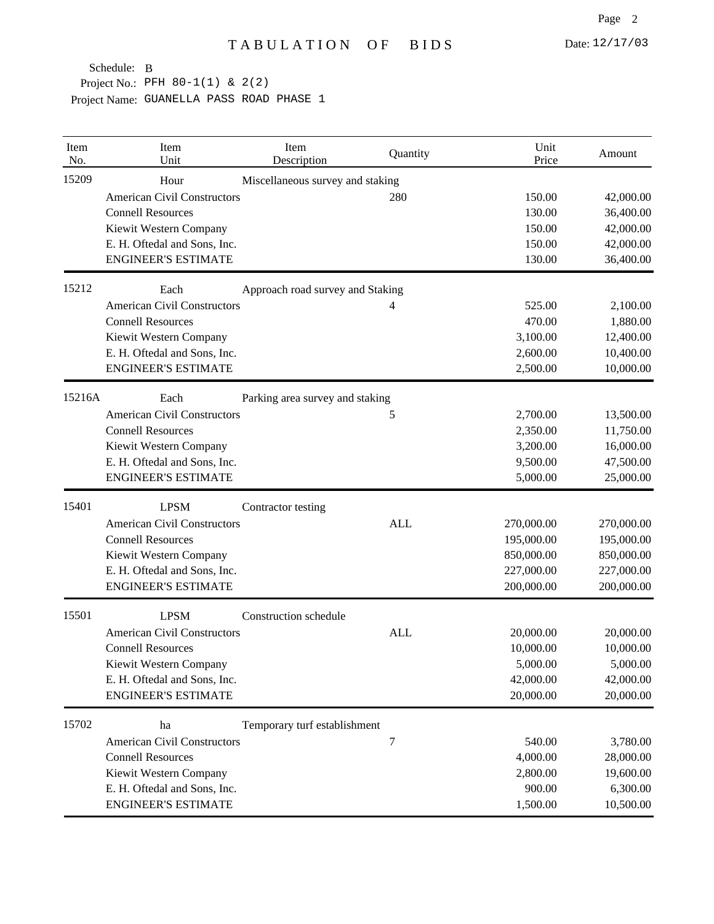| Item<br>No. | Item<br>Unit                       | Item<br>Description              | Quantity   | Unit<br>Price | Amount     |
|-------------|------------------------------------|----------------------------------|------------|---------------|------------|
| 15209       | Hour                               | Miscellaneous survey and staking |            |               |            |
|             | <b>American Civil Constructors</b> |                                  | 280        | 150.00        | 42,000.00  |
|             | <b>Connell Resources</b>           |                                  |            | 130.00        | 36,400.00  |
|             | Kiewit Western Company             |                                  |            | 150.00        | 42,000.00  |
|             | E. H. Oftedal and Sons, Inc.       |                                  |            | 150.00        | 42,000.00  |
|             | <b>ENGINEER'S ESTIMATE</b>         |                                  |            | 130.00        | 36,400.00  |
| 15212       | Each                               | Approach road survey and Staking |            |               |            |
|             | <b>American Civil Constructors</b> |                                  | 4          | 525.00        | 2,100.00   |
|             | <b>Connell Resources</b>           |                                  |            | 470.00        | 1,880.00   |
|             | Kiewit Western Company             |                                  |            | 3,100.00      | 12,400.00  |
|             | E. H. Oftedal and Sons, Inc.       |                                  |            | 2,600.00      | 10,400.00  |
|             | <b>ENGINEER'S ESTIMATE</b>         |                                  |            | 2,500.00      | 10,000.00  |
| 15216A      | Each                               | Parking area survey and staking  |            |               |            |
|             | <b>American Civil Constructors</b> |                                  | 5          | 2,700.00      | 13,500.00  |
|             | <b>Connell Resources</b>           |                                  |            | 2,350.00      | 11,750.00  |
|             | Kiewit Western Company             |                                  |            | 3,200.00      | 16,000.00  |
|             | E. H. Oftedal and Sons, Inc.       |                                  |            | 9,500.00      | 47,500.00  |
|             | <b>ENGINEER'S ESTIMATE</b>         |                                  |            | 5,000.00      | 25,000.00  |
| 15401       | <b>LPSM</b>                        | Contractor testing               |            |               |            |
|             | <b>American Civil Constructors</b> |                                  | <b>ALL</b> | 270,000.00    | 270,000.00 |
|             | <b>Connell Resources</b>           |                                  |            | 195,000.00    | 195,000.00 |
|             | Kiewit Western Company             |                                  |            | 850,000.00    | 850,000.00 |
|             | E. H. Oftedal and Sons, Inc.       |                                  |            | 227,000.00    | 227,000.00 |
|             | <b>ENGINEER'S ESTIMATE</b>         |                                  |            | 200,000.00    | 200,000.00 |
| 15501       | <b>LPSM</b>                        | Construction schedule            |            |               |            |
|             | <b>American Civil Constructors</b> |                                  | <b>ALL</b> | 20,000.00     | 20,000.00  |
|             | <b>Connell Resources</b>           |                                  |            | 10,000.00     | 10,000.00  |
|             | Kiewit Western Company             |                                  |            | 5,000.00      | 5,000.00   |
|             | E. H. Oftedal and Sons, Inc.       |                                  |            | 42,000.00     | 42,000.00  |
|             | <b>ENGINEER'S ESTIMATE</b>         |                                  |            | 20,000.00     | 20,000.00  |
| 15702       | ha                                 | Temporary turf establishment     |            |               |            |
|             | <b>American Civil Constructors</b> |                                  | 7          | 540.00        | 3,780.00   |
|             | <b>Connell Resources</b>           |                                  |            | 4,000.00      | 28,000.00  |
|             | Kiewit Western Company             |                                  |            | 2,800.00      | 19,600.00  |
|             | E. H. Oftedal and Sons, Inc.       |                                  |            | 900.00        | 6,300.00   |
|             | <b>ENGINEER'S ESTIMATE</b>         |                                  |            | 1,500.00      | 10,500.00  |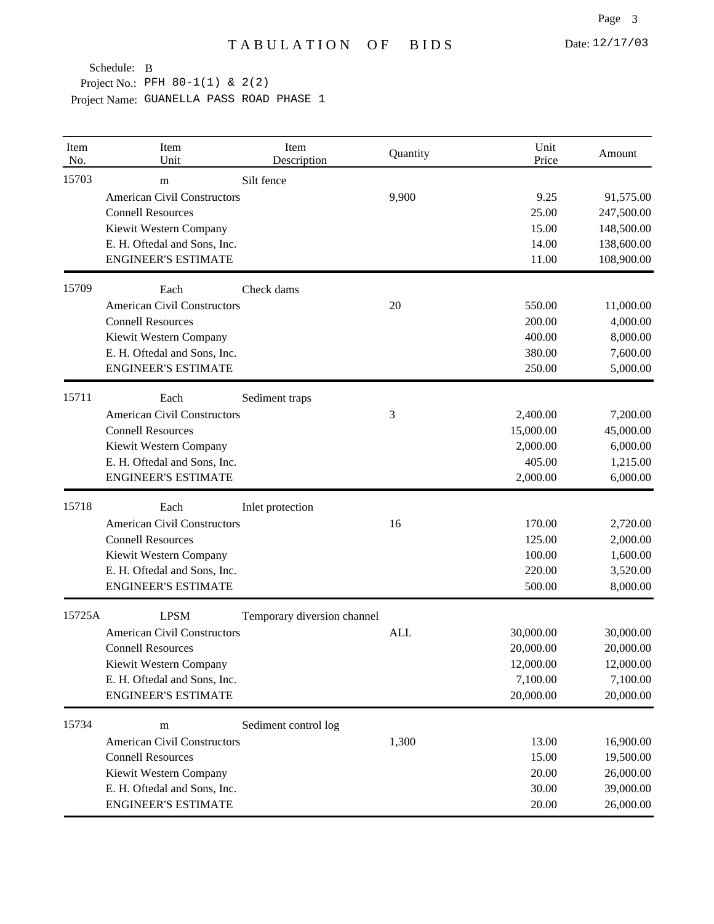| Item<br>No. | Item<br>Unit                       | Item<br>Description         | Quantity   | Unit<br>Price | Amount     |
|-------------|------------------------------------|-----------------------------|------------|---------------|------------|
| 15703       | m                                  | Silt fence                  |            |               |            |
|             | <b>American Civil Constructors</b> |                             | 9,900      | 9.25          | 91,575.00  |
|             | <b>Connell Resources</b>           |                             |            | 25.00         | 247,500.00 |
|             | Kiewit Western Company             |                             |            | 15.00         | 148,500.00 |
|             | E. H. Oftedal and Sons, Inc.       |                             |            | 14.00         | 138,600.00 |
|             | <b>ENGINEER'S ESTIMATE</b>         |                             |            | 11.00         | 108,900.00 |
| 15709       | Each                               | Check dams                  |            |               |            |
|             | <b>American Civil Constructors</b> |                             | 20         | 550.00        | 11,000.00  |
|             | <b>Connell Resources</b>           |                             |            | 200.00        | 4,000.00   |
|             | Kiewit Western Company             |                             |            | 400.00        | 8,000.00   |
|             | E. H. Oftedal and Sons, Inc.       |                             |            | 380.00        | 7,600.00   |
|             | <b>ENGINEER'S ESTIMATE</b>         |                             |            | 250.00        | 5,000.00   |
| 15711       | Each                               | Sediment traps              |            |               |            |
|             | <b>American Civil Constructors</b> |                             | 3          | 2,400.00      | 7,200.00   |
|             | <b>Connell Resources</b>           |                             |            | 15,000.00     | 45,000.00  |
|             | Kiewit Western Company             |                             |            | 2,000.00      | 6,000.00   |
|             | E. H. Oftedal and Sons, Inc.       |                             |            | 405.00        | 1,215.00   |
|             | <b>ENGINEER'S ESTIMATE</b>         |                             |            | 2,000.00      | 6,000.00   |
| 15718       | Each                               | Inlet protection            |            |               |            |
|             | <b>American Civil Constructors</b> |                             | 16         | 170.00        | 2,720.00   |
|             | <b>Connell Resources</b>           |                             |            | 125.00        | 2,000.00   |
|             | Kiewit Western Company             |                             |            | 100.00        | 1,600.00   |
|             | E. H. Oftedal and Sons, Inc.       |                             |            | 220.00        | 3,520.00   |
|             | <b>ENGINEER'S ESTIMATE</b>         |                             |            | 500.00        | 8,000.00   |
| 15725A      | <b>LPSM</b>                        | Temporary diversion channel |            |               |            |
|             | <b>American Civil Constructors</b> |                             | <b>ALL</b> | 30,000.00     | 30,000.00  |
|             | <b>Connell Resources</b>           |                             |            | 20,000.00     | 20,000.00  |
|             | Kiewit Western Company             |                             |            | 12,000.00     | 12,000.00  |
|             | E. H. Oftedal and Sons, Inc.       |                             |            | 7,100.00      | 7,100.00   |
|             | <b>ENGINEER'S ESTIMATE</b>         |                             |            | 20,000.00     | 20,000.00  |
| 15734       | m                                  | Sediment control log        |            |               |            |
|             | <b>American Civil Constructors</b> |                             | 1,300      | 13.00         | 16,900.00  |
|             | <b>Connell Resources</b>           |                             |            | 15.00         | 19,500.00  |
|             | Kiewit Western Company             |                             |            | 20.00         | 26,000.00  |
|             | E. H. Oftedal and Sons, Inc.       |                             |            | 30.00         | 39,000.00  |
|             | <b>ENGINEER'S ESTIMATE</b>         |                             |            | 20.00         | 26,000.00  |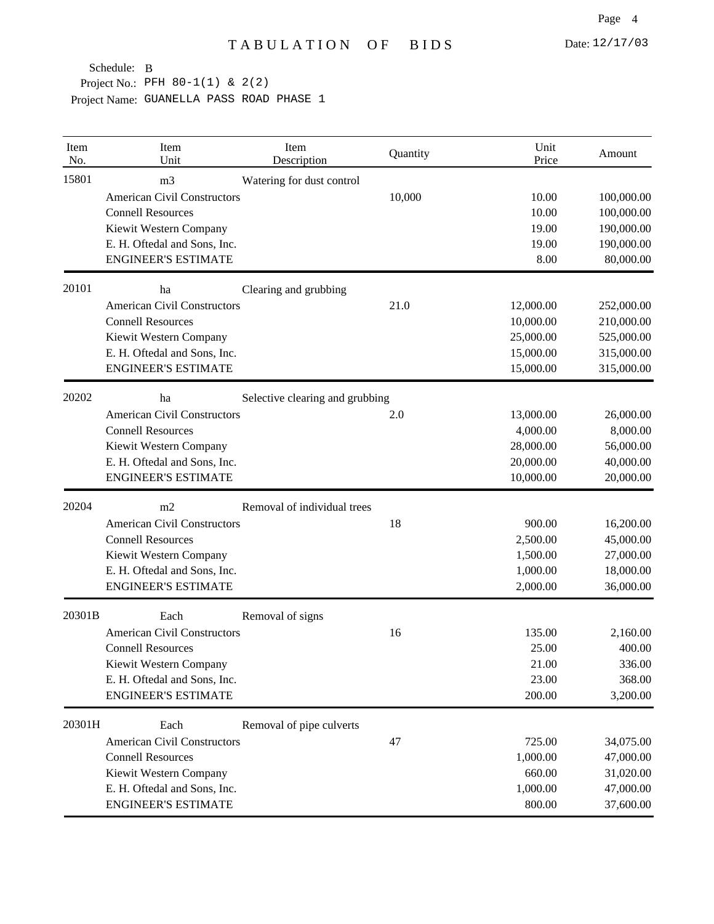| Item<br>No. | Item<br>Unit                       | Item<br>Description             | Quantity | Unit<br>Price | Amount     |
|-------------|------------------------------------|---------------------------------|----------|---------------|------------|
| 15801       | m <sub>3</sub>                     | Watering for dust control       |          |               |            |
|             | <b>American Civil Constructors</b> |                                 | 10,000   | 10.00         | 100,000.00 |
|             | <b>Connell Resources</b>           |                                 |          | 10.00         | 100,000.00 |
|             | Kiewit Western Company             |                                 |          | 19.00         | 190,000.00 |
|             | E. H. Oftedal and Sons, Inc.       |                                 |          | 19.00         | 190,000.00 |
|             | <b>ENGINEER'S ESTIMATE</b>         |                                 |          | 8.00          | 80,000.00  |
| 20101       | ha                                 | Clearing and grubbing           |          |               |            |
|             | <b>American Civil Constructors</b> |                                 | 21.0     | 12,000.00     | 252,000.00 |
|             | <b>Connell Resources</b>           |                                 |          | 10,000.00     | 210,000.00 |
|             | Kiewit Western Company             |                                 |          | 25,000.00     | 525,000.00 |
|             | E. H. Oftedal and Sons, Inc.       |                                 |          | 15,000.00     | 315,000.00 |
|             | <b>ENGINEER'S ESTIMATE</b>         |                                 |          | 15,000.00     | 315,000.00 |
| 20202       | ha                                 | Selective clearing and grubbing |          |               |            |
|             | <b>American Civil Constructors</b> |                                 | 2.0      | 13,000.00     | 26,000.00  |
|             | <b>Connell Resources</b>           |                                 |          | 4,000.00      | 8,000.00   |
|             | Kiewit Western Company             |                                 |          | 28,000.00     | 56,000.00  |
|             | E. H. Oftedal and Sons, Inc.       |                                 |          | 20,000.00     | 40,000.00  |
|             | <b>ENGINEER'S ESTIMATE</b>         |                                 |          | 10,000.00     | 20,000.00  |
| 20204       | m2                                 | Removal of individual trees     |          |               |            |
|             | <b>American Civil Constructors</b> |                                 | 18       | 900.00        | 16,200.00  |
|             | <b>Connell Resources</b>           |                                 |          | 2,500.00      | 45,000.00  |
|             | Kiewit Western Company             |                                 |          | 1,500.00      | 27,000.00  |
|             | E. H. Oftedal and Sons, Inc.       |                                 |          | 1,000.00      | 18,000.00  |
|             | <b>ENGINEER'S ESTIMATE</b>         |                                 |          | 2,000.00      | 36,000.00  |
| 20301B      | Each                               | Removal of signs                |          |               |            |
|             | <b>American Civil Constructors</b> |                                 | 16       | 135.00        | 2,160.00   |
|             | <b>Connell Resources</b>           |                                 |          | 25.00         | 400.00     |
|             | Kiewit Western Company             |                                 |          | 21.00         | 336.00     |
|             | E. H. Oftedal and Sons, Inc.       |                                 |          | 23.00         | 368.00     |
|             | <b>ENGINEER'S ESTIMATE</b>         |                                 |          | 200.00        | 3,200.00   |
| 20301H      | Each                               | Removal of pipe culverts        |          |               |            |
|             | <b>American Civil Constructors</b> |                                 | 47       | 725.00        | 34,075.00  |
|             | <b>Connell Resources</b>           |                                 |          | 1,000.00      | 47,000.00  |
|             | Kiewit Western Company             |                                 |          | 660.00        | 31,020.00  |
|             | E. H. Oftedal and Sons, Inc.       |                                 |          | 1,000.00      | 47,000.00  |
|             | <b>ENGINEER'S ESTIMATE</b>         |                                 |          | 800.00        | 37,600.00  |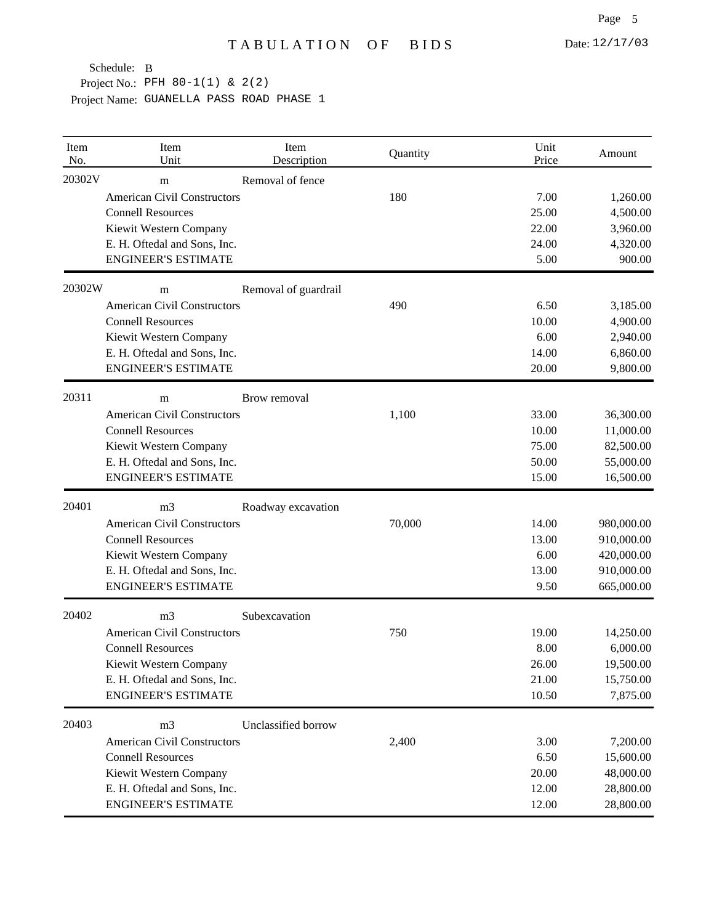| Item<br>No. | Item<br>Unit                       | Item<br>Description  | Quantity | Unit<br>Price | Amount     |
|-------------|------------------------------------|----------------------|----------|---------------|------------|
| 20302V      | m                                  | Removal of fence     |          |               |            |
|             | <b>American Civil Constructors</b> |                      | 180      | 7.00          | 1,260.00   |
|             | <b>Connell Resources</b>           |                      |          | 25.00         | 4,500.00   |
|             | Kiewit Western Company             |                      |          | 22.00         | 3,960.00   |
|             | E. H. Oftedal and Sons, Inc.       |                      |          | 24.00         | 4,320.00   |
|             | <b>ENGINEER'S ESTIMATE</b>         |                      |          | 5.00          | 900.00     |
| 20302W      | m                                  | Removal of guardrail |          |               |            |
|             | <b>American Civil Constructors</b> |                      | 490      | 6.50          | 3,185.00   |
|             | <b>Connell Resources</b>           |                      |          | 10.00         | 4,900.00   |
|             | Kiewit Western Company             |                      |          | 6.00          | 2,940.00   |
|             | E. H. Oftedal and Sons, Inc.       |                      |          | 14.00         | 6,860.00   |
|             | <b>ENGINEER'S ESTIMATE</b>         |                      |          | 20.00         | 9,800.00   |
| 20311       | m                                  | Brow removal         |          |               |            |
|             | <b>American Civil Constructors</b> |                      | 1,100    | 33.00         | 36,300.00  |
|             | <b>Connell Resources</b>           |                      |          | 10.00         | 11,000.00  |
|             | Kiewit Western Company             |                      |          | 75.00         | 82,500.00  |
|             | E. H. Oftedal and Sons, Inc.       |                      |          | 50.00         | 55,000.00  |
|             | <b>ENGINEER'S ESTIMATE</b>         |                      |          | 15.00         | 16,500.00  |
| 20401       | m <sub>3</sub>                     | Roadway excavation   |          |               |            |
|             | <b>American Civil Constructors</b> |                      | 70,000   | 14.00         | 980,000.00 |
|             | <b>Connell Resources</b>           |                      |          | 13.00         | 910,000.00 |
|             | Kiewit Western Company             |                      |          | 6.00          | 420,000.00 |
|             | E. H. Oftedal and Sons, Inc.       |                      |          | 13.00         | 910,000.00 |
|             | <b>ENGINEER'S ESTIMATE</b>         |                      |          | 9.50          | 665,000.00 |
| 20402       | m <sub>3</sub>                     | Subexcavation        |          |               |            |
|             | <b>American Civil Constructors</b> |                      | 750      | 19.00         | 14,250.00  |
|             | <b>Connell Resources</b>           |                      |          | 8.00          | 6,000.00   |
|             | Kiewit Western Company             |                      |          | 26.00         | 19,500.00  |
|             | E. H. Oftedal and Sons, Inc.       |                      |          | 21.00         | 15,750.00  |
|             | <b>ENGINEER'S ESTIMATE</b>         |                      |          | 10.50         | 7,875.00   |
| 20403       | m <sub>3</sub>                     | Unclassified borrow  |          |               |            |
|             | <b>American Civil Constructors</b> |                      | 2,400    | 3.00          | 7,200.00   |
|             | <b>Connell Resources</b>           |                      |          | 6.50          | 15,600.00  |
|             | Kiewit Western Company             |                      |          | 20.00         | 48,000.00  |
|             | E. H. Oftedal and Sons, Inc.       |                      |          | 12.00         | 28,800.00  |
|             | <b>ENGINEER'S ESTIMATE</b>         |                      |          | 12.00         | 28,800.00  |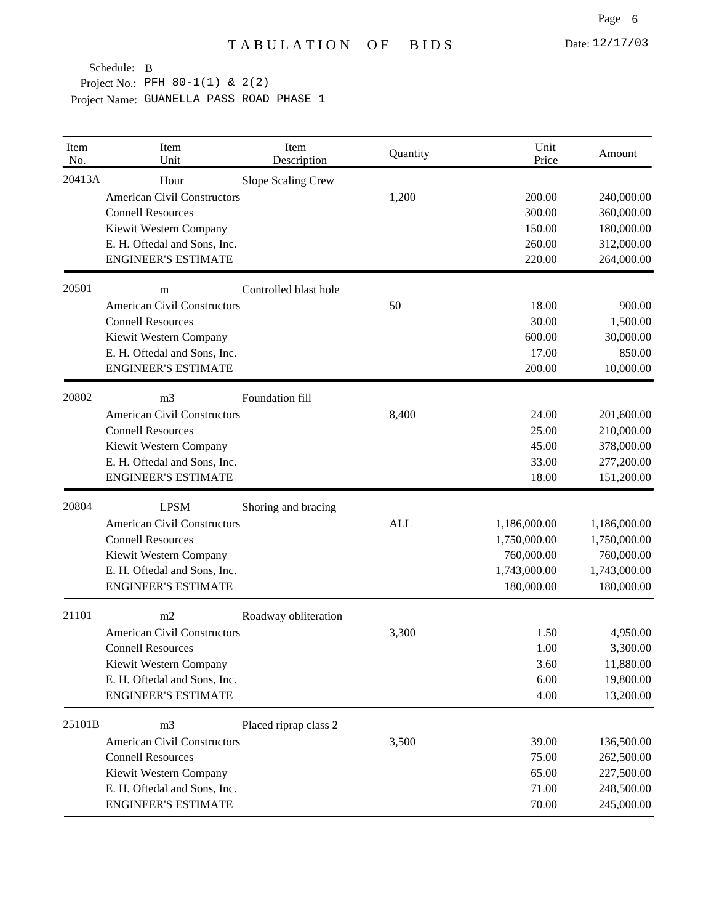| Item<br>No. | Item<br>Unit                       | Item<br>Description   | Quantity   | Unit<br>Price | Amount       |
|-------------|------------------------------------|-----------------------|------------|---------------|--------------|
| 20413A      | Hour                               | Slope Scaling Crew    |            |               |              |
|             | <b>American Civil Constructors</b> |                       | 1,200      | 200.00        | 240,000.00   |
|             | <b>Connell Resources</b>           |                       |            | 300.00        | 360,000.00   |
|             | Kiewit Western Company             |                       |            | 150.00        | 180,000.00   |
|             | E. H. Oftedal and Sons, Inc.       |                       |            | 260.00        | 312,000.00   |
|             | <b>ENGINEER'S ESTIMATE</b>         |                       |            | 220.00        | 264,000.00   |
| 20501       | m                                  | Controlled blast hole |            |               |              |
|             | <b>American Civil Constructors</b> |                       | 50         | 18.00         | 900.00       |
|             | <b>Connell Resources</b>           |                       |            | 30.00         | 1,500.00     |
|             | Kiewit Western Company             |                       |            | 600.00        | 30,000.00    |
|             | E. H. Oftedal and Sons, Inc.       |                       |            | 17.00         | 850.00       |
|             | <b>ENGINEER'S ESTIMATE</b>         |                       |            | 200.00        | 10,000.00    |
| 20802       | m <sub>3</sub>                     | Foundation fill       |            |               |              |
|             | <b>American Civil Constructors</b> |                       | 8,400      | 24.00         | 201,600.00   |
|             | <b>Connell Resources</b>           |                       |            | 25.00         | 210,000.00   |
|             | Kiewit Western Company             |                       |            | 45.00         | 378,000.00   |
|             | E. H. Oftedal and Sons, Inc.       |                       |            | 33.00         | 277,200.00   |
|             | <b>ENGINEER'S ESTIMATE</b>         |                       |            | 18.00         | 151,200.00   |
| 20804       | <b>LPSM</b>                        | Shoring and bracing   |            |               |              |
|             | <b>American Civil Constructors</b> |                       | <b>ALL</b> | 1,186,000.00  | 1,186,000.00 |
|             | <b>Connell Resources</b>           |                       |            | 1,750,000.00  | 1,750,000.00 |
|             | Kiewit Western Company             |                       |            | 760,000.00    | 760,000.00   |
|             | E. H. Oftedal and Sons, Inc.       |                       |            | 1,743,000.00  | 1,743,000.00 |
|             | <b>ENGINEER'S ESTIMATE</b>         |                       |            | 180,000.00    | 180,000.00   |
| 21101       | m2                                 | Roadway obliteration  |            |               |              |
|             | <b>American Civil Constructors</b> |                       | 3,300      | 1.50          | 4,950.00     |
|             | <b>Connell Resources</b>           |                       |            | 1.00          | 3,300.00     |
|             | Kiewit Western Company             |                       |            | 3.60          | 11,880.00    |
|             | E. H. Oftedal and Sons, Inc.       |                       |            | 6.00          | 19,800.00    |
|             | <b>ENGINEER'S ESTIMATE</b>         |                       |            | 4.00          | 13,200.00    |
| 25101B      | m <sub>3</sub>                     | Placed riprap class 2 |            |               |              |
|             | <b>American Civil Constructors</b> |                       | 3,500      | 39.00         | 136,500.00   |
|             | <b>Connell Resources</b>           |                       |            | 75.00         | 262,500.00   |
|             | Kiewit Western Company             |                       |            | 65.00         | 227,500.00   |
|             | E. H. Oftedal and Sons, Inc.       |                       |            | 71.00         | 248,500.00   |
|             | <b>ENGINEER'S ESTIMATE</b>         |                       |            | 70.00         | 245,000.00   |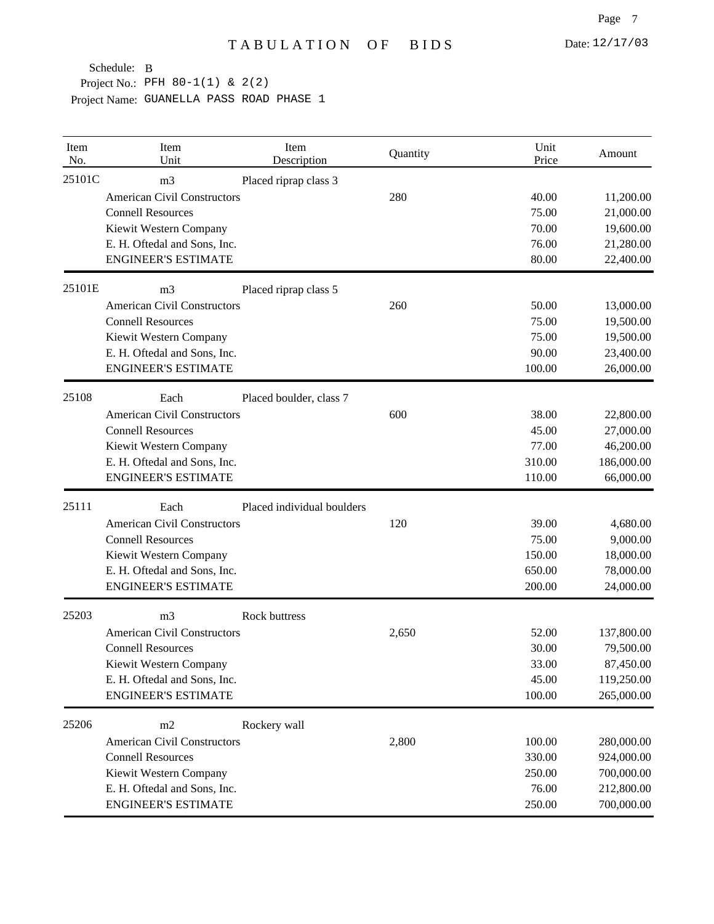| Item<br>No. | Item<br>Unit                       | Item<br>Description        | Quantity | Unit<br>Price | Amount     |
|-------------|------------------------------------|----------------------------|----------|---------------|------------|
| 25101C      | m <sub>3</sub>                     | Placed riprap class 3      |          |               |            |
|             | <b>American Civil Constructors</b> |                            | 280      | 40.00         | 11,200.00  |
|             | <b>Connell Resources</b>           |                            |          | 75.00         | 21,000.00  |
|             | Kiewit Western Company             |                            |          | 70.00         | 19,600.00  |
|             | E. H. Oftedal and Sons, Inc.       |                            |          | 76.00         | 21,280.00  |
|             | <b>ENGINEER'S ESTIMATE</b>         |                            |          | 80.00         | 22,400.00  |
| 25101E      | m <sub>3</sub>                     | Placed riprap class 5      |          |               |            |
|             | <b>American Civil Constructors</b> |                            | 260      | 50.00         | 13,000.00  |
|             | <b>Connell Resources</b>           |                            |          | 75.00         | 19,500.00  |
|             | Kiewit Western Company             |                            |          | 75.00         | 19,500.00  |
|             | E. H. Oftedal and Sons, Inc.       |                            |          | 90.00         | 23,400.00  |
|             | <b>ENGINEER'S ESTIMATE</b>         |                            |          | 100.00        | 26,000.00  |
| 25108       | Each                               | Placed boulder, class 7    |          |               |            |
|             | <b>American Civil Constructors</b> |                            | 600      | 38.00         | 22,800.00  |
|             | <b>Connell Resources</b>           |                            |          | 45.00         | 27,000.00  |
|             | Kiewit Western Company             |                            |          | 77.00         | 46,200.00  |
|             | E. H. Oftedal and Sons, Inc.       |                            |          | 310.00        | 186,000.00 |
|             | <b>ENGINEER'S ESTIMATE</b>         |                            |          | 110.00        | 66,000.00  |
| 25111       | Each                               | Placed individual boulders |          |               |            |
|             | <b>American Civil Constructors</b> |                            | 120      | 39.00         | 4,680.00   |
|             | <b>Connell Resources</b>           |                            |          | 75.00         | 9,000.00   |
|             | Kiewit Western Company             |                            |          | 150.00        | 18,000.00  |
|             | E. H. Oftedal and Sons, Inc.       |                            |          | 650.00        | 78,000.00  |
|             | <b>ENGINEER'S ESTIMATE</b>         |                            |          | 200.00        | 24,000.00  |
| 25203       | m <sub>3</sub>                     | Rock buttress              |          |               |            |
|             | <b>American Civil Constructors</b> |                            | 2,650    | 52.00         | 137,800.00 |
|             | <b>Connell Resources</b>           |                            |          | 30.00         | 79,500.00  |
|             | Kiewit Western Company             |                            |          | 33.00         | 87,450.00  |
|             | E. H. Oftedal and Sons, Inc.       |                            |          | 45.00         | 119,250.00 |
|             | <b>ENGINEER'S ESTIMATE</b>         |                            |          | 100.00        | 265,000.00 |
| 25206       | m2                                 | Rockery wall               |          |               |            |
|             | <b>American Civil Constructors</b> |                            | 2,800    | 100.00        | 280,000.00 |
|             | <b>Connell Resources</b>           |                            |          | 330.00        | 924,000.00 |
|             | Kiewit Western Company             |                            |          | 250.00        | 700,000.00 |
|             | E. H. Oftedal and Sons, Inc.       |                            |          | 76.00         | 212,800.00 |
|             | <b>ENGINEER'S ESTIMATE</b>         |                            |          | 250.00        | 700,000.00 |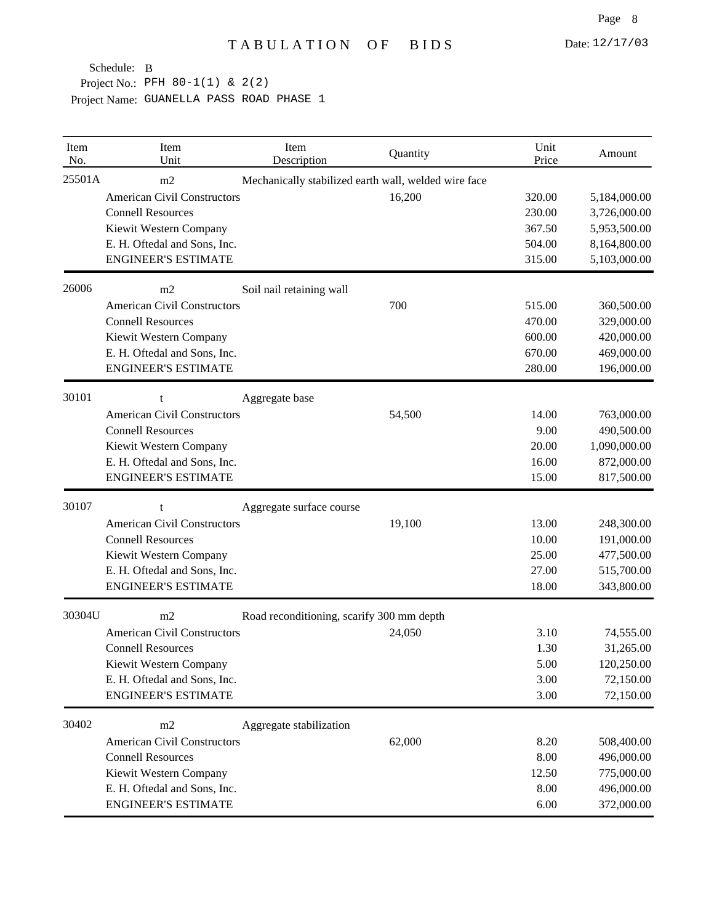| Item<br>No. | Item<br>Unit                       | Item<br>Description                       | Quantity                                             | Unit<br>Price | Amount       |
|-------------|------------------------------------|-------------------------------------------|------------------------------------------------------|---------------|--------------|
| 25501A      | m2                                 |                                           | Mechanically stabilized earth wall, welded wire face |               |              |
|             | <b>American Civil Constructors</b> |                                           | 16,200                                               | 320.00        | 5,184,000.00 |
|             | <b>Connell Resources</b>           |                                           |                                                      | 230.00        | 3,726,000.00 |
|             | Kiewit Western Company             |                                           |                                                      | 367.50        | 5,953,500.00 |
|             | E. H. Oftedal and Sons, Inc.       |                                           |                                                      | 504.00        | 8,164,800.00 |
|             | <b>ENGINEER'S ESTIMATE</b>         |                                           |                                                      | 315.00        | 5,103,000.00 |
| 26006       | m <sub>2</sub>                     | Soil nail retaining wall                  |                                                      |               |              |
|             | <b>American Civil Constructors</b> |                                           | 700                                                  | 515.00        | 360,500.00   |
|             | <b>Connell Resources</b>           |                                           |                                                      | 470.00        | 329,000.00   |
|             | Kiewit Western Company             |                                           |                                                      | 600.00        | 420,000.00   |
|             | E. H. Oftedal and Sons, Inc.       |                                           |                                                      | 670.00        | 469,000.00   |
|             | <b>ENGINEER'S ESTIMATE</b>         |                                           |                                                      | 280.00        | 196,000.00   |
| 30101       | t                                  | Aggregate base                            |                                                      |               |              |
|             | <b>American Civil Constructors</b> |                                           | 54,500                                               | 14.00         | 763,000.00   |
|             | <b>Connell Resources</b>           |                                           |                                                      | 9.00          | 490,500.00   |
|             | Kiewit Western Company             |                                           |                                                      | 20.00         | 1,090,000.00 |
|             | E. H. Oftedal and Sons, Inc.       |                                           |                                                      | 16.00         | 872,000.00   |
|             | <b>ENGINEER'S ESTIMATE</b>         |                                           |                                                      | 15.00         | 817,500.00   |
| 30107       | t                                  | Aggregate surface course                  |                                                      |               |              |
|             | <b>American Civil Constructors</b> |                                           | 19,100                                               | 13.00         | 248,300.00   |
|             | <b>Connell Resources</b>           |                                           |                                                      | 10.00         | 191,000.00   |
|             | Kiewit Western Company             |                                           |                                                      | 25.00         | 477,500.00   |
|             | E. H. Oftedal and Sons, Inc.       |                                           |                                                      | 27.00         | 515,700.00   |
|             | <b>ENGINEER'S ESTIMATE</b>         |                                           |                                                      | 18.00         | 343,800.00   |
| 30304U      | m2                                 | Road reconditioning, scarify 300 mm depth |                                                      |               |              |
|             | <b>American Civil Constructors</b> |                                           | 24,050                                               | 3.10          | 74,555.00    |
|             | <b>Connell Resources</b>           |                                           |                                                      | 1.30          | 31,265.00    |
|             | Kiewit Western Company             |                                           |                                                      | 5.00          | 120,250.00   |
|             | E. H. Oftedal and Sons, Inc.       |                                           |                                                      | 3.00          | 72,150.00    |
|             | <b>ENGINEER'S ESTIMATE</b>         |                                           |                                                      | 3.00          | 72,150.00    |
| 30402       | m2                                 | Aggregate stabilization                   |                                                      |               |              |
|             | <b>American Civil Constructors</b> |                                           | 62,000                                               | 8.20          | 508,400.00   |
|             | <b>Connell Resources</b>           |                                           |                                                      | 8.00          | 496,000.00   |
|             | Kiewit Western Company             |                                           |                                                      | 12.50         | 775,000.00   |
|             | E. H. Oftedal and Sons, Inc.       |                                           |                                                      | 8.00          | 496,000.00   |
|             | <b>ENGINEER'S ESTIMATE</b>         |                                           |                                                      | 6.00          | 372,000.00   |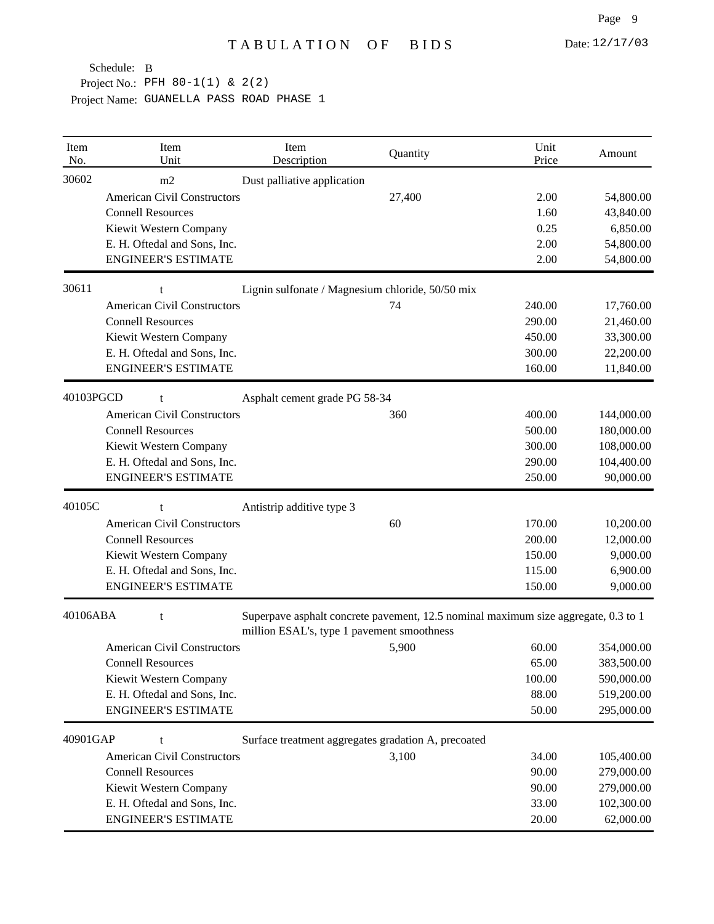| Item<br>No. | Item<br>Unit                       | Item<br>Description                                                                                                              | Quantity | Unit<br>Price | Amount     |
|-------------|------------------------------------|----------------------------------------------------------------------------------------------------------------------------------|----------|---------------|------------|
| 30602       | m2                                 | Dust palliative application                                                                                                      |          |               |            |
|             | <b>American Civil Constructors</b> |                                                                                                                                  | 27,400   | 2.00          | 54,800.00  |
|             | <b>Connell Resources</b>           |                                                                                                                                  |          | 1.60          | 43,840.00  |
|             | Kiewit Western Company             |                                                                                                                                  |          | 0.25          | 6,850.00   |
|             | E. H. Oftedal and Sons, Inc.       |                                                                                                                                  |          | 2.00          | 54,800.00  |
|             | <b>ENGINEER'S ESTIMATE</b>         |                                                                                                                                  |          | 2.00          | 54,800.00  |
| 30611       | t                                  | Lignin sulfonate / Magnesium chloride, 50/50 mix                                                                                 |          |               |            |
|             | <b>American Civil Constructors</b> |                                                                                                                                  | 74       | 240.00        | 17,760.00  |
|             | <b>Connell Resources</b>           |                                                                                                                                  |          | 290.00        | 21,460.00  |
|             | Kiewit Western Company             |                                                                                                                                  |          | 450.00        | 33,300.00  |
|             | E. H. Oftedal and Sons, Inc.       |                                                                                                                                  |          | 300.00        | 22,200.00  |
|             | <b>ENGINEER'S ESTIMATE</b>         |                                                                                                                                  |          | 160.00        | 11,840.00  |
| 40103PGCD   | t                                  | Asphalt cement grade PG 58-34                                                                                                    |          |               |            |
|             | <b>American Civil Constructors</b> |                                                                                                                                  | 360      | 400.00        | 144,000.00 |
|             | <b>Connell Resources</b>           |                                                                                                                                  |          | 500.00        | 180,000.00 |
|             | Kiewit Western Company             |                                                                                                                                  |          | 300.00        | 108,000.00 |
|             | E. H. Oftedal and Sons, Inc.       |                                                                                                                                  |          | 290.00        | 104,400.00 |
|             | <b>ENGINEER'S ESTIMATE</b>         |                                                                                                                                  |          | 250.00        | 90,000.00  |
| 40105C      | t                                  | Antistrip additive type 3                                                                                                        |          |               |            |
|             | <b>American Civil Constructors</b> |                                                                                                                                  | 60       | 170.00        | 10,200.00  |
|             | <b>Connell Resources</b>           |                                                                                                                                  |          | 200.00        | 12,000.00  |
|             | Kiewit Western Company             |                                                                                                                                  |          | 150.00        | 9,000.00   |
|             | E. H. Oftedal and Sons, Inc.       |                                                                                                                                  |          | 115.00        | 6,900.00   |
|             | <b>ENGINEER'S ESTIMATE</b>         |                                                                                                                                  |          | 150.00        | 9,000.00   |
| 40106ABA    | t                                  | Superpave asphalt concrete pavement, 12.5 nominal maximum size aggregate, 0.3 to 1<br>million ESAL's, type 1 pavement smoothness |          |               |            |
|             | <b>American Civil Constructors</b> |                                                                                                                                  | 5,900    | 60.00         | 354,000.00 |
|             | <b>Connell Resources</b>           |                                                                                                                                  |          | 65.00         | 383,500.00 |
|             | Kiewit Western Company             |                                                                                                                                  |          | 100.00        | 590,000.00 |
|             | E. H. Oftedal and Sons, Inc.       |                                                                                                                                  |          | 88.00         | 519,200.00 |
|             | <b>ENGINEER'S ESTIMATE</b>         |                                                                                                                                  |          | 50.00         | 295,000.00 |
| 40901GAP    | t                                  | Surface treatment aggregates gradation A, precoated                                                                              |          |               |            |
|             | <b>American Civil Constructors</b> |                                                                                                                                  | 3,100    | 34.00         | 105,400.00 |
|             | <b>Connell Resources</b>           |                                                                                                                                  |          | 90.00         | 279,000.00 |
|             | Kiewit Western Company             |                                                                                                                                  |          | 90.00         | 279,000.00 |
|             | E. H. Oftedal and Sons, Inc.       |                                                                                                                                  |          | 33.00         | 102,300.00 |
|             | <b>ENGINEER'S ESTIMATE</b>         |                                                                                                                                  |          | 20.00         | 62,000.00  |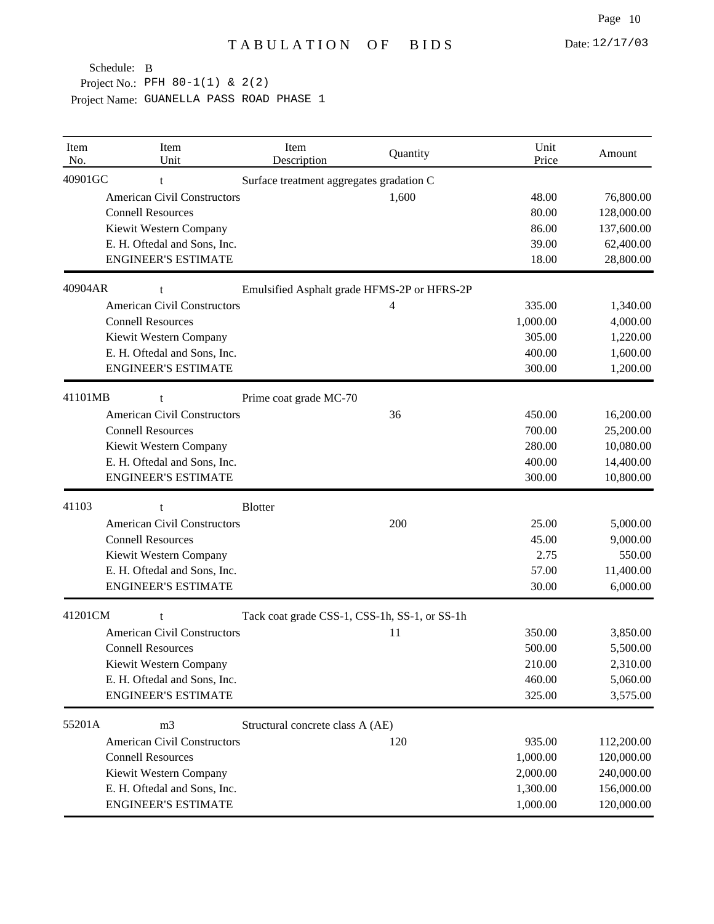| Item<br>No. | Item<br>Unit                       | Item<br>Description                           | Quantity | Unit<br>Price | Amount     |
|-------------|------------------------------------|-----------------------------------------------|----------|---------------|------------|
| 40901GC     |                                    | Surface treatment aggregates gradation C      |          |               |            |
|             | <b>American Civil Constructors</b> |                                               | 1,600    | 48.00         | 76,800.00  |
|             | <b>Connell Resources</b>           |                                               |          | 80.00         | 128,000.00 |
|             | Kiewit Western Company             |                                               |          | 86.00         | 137,600.00 |
|             | E. H. Oftedal and Sons, Inc.       |                                               |          | 39.00         | 62,400.00  |
|             | <b>ENGINEER'S ESTIMATE</b>         |                                               |          | 18.00         | 28,800.00  |
| 40904AR     | t                                  | Emulsified Asphalt grade HFMS-2P or HFRS-2P   |          |               |            |
|             | <b>American Civil Constructors</b> |                                               | 4        | 335.00        | 1,340.00   |
|             | <b>Connell Resources</b>           |                                               |          | 1,000.00      | 4,000.00   |
|             | Kiewit Western Company             |                                               |          | 305.00        | 1,220.00   |
|             | E. H. Oftedal and Sons, Inc.       |                                               |          | 400.00        | 1,600.00   |
|             | <b>ENGINEER'S ESTIMATE</b>         |                                               |          | 300.00        | 1,200.00   |
| 41101MB     | t                                  | Prime coat grade MC-70                        |          |               |            |
|             | <b>American Civil Constructors</b> |                                               | 36       | 450.00        | 16,200.00  |
|             | <b>Connell Resources</b>           |                                               |          | 700.00        | 25,200.00  |
|             | Kiewit Western Company             |                                               |          | 280.00        | 10,080.00  |
|             | E. H. Oftedal and Sons, Inc.       |                                               |          | 400.00        | 14,400.00  |
|             | <b>ENGINEER'S ESTIMATE</b>         |                                               |          | 300.00        | 10,800.00  |
| 41103       | t                                  | <b>Blotter</b>                                |          |               |            |
|             | <b>American Civil Constructors</b> |                                               | 200      | 25.00         | 5,000.00   |
|             | <b>Connell Resources</b>           |                                               |          | 45.00         | 9,000.00   |
|             | Kiewit Western Company             |                                               |          | 2.75          | 550.00     |
|             | E. H. Oftedal and Sons, Inc.       |                                               |          | 57.00         | 11,400.00  |
|             | <b>ENGINEER'S ESTIMATE</b>         |                                               |          | 30.00         | 6,000.00   |
| 41201CM     | t                                  | Tack coat grade CSS-1, CSS-1h, SS-1, or SS-1h |          |               |            |
|             | <b>American Civil Constructors</b> |                                               | 11       | 350.00        | 3,850.00   |
|             | <b>Connell Resources</b>           |                                               |          | 500.00        | 5,500.00   |
|             | Kiewit Western Company             |                                               |          | 210.00        | 2,310.00   |
|             | E. H. Oftedal and Sons, Inc.       |                                               |          | 460.00        | 5,060.00   |
|             | <b>ENGINEER'S ESTIMATE</b>         |                                               |          | 325.00        | 3,575.00   |
| 55201A      | m <sub>3</sub>                     | Structural concrete class A (AE)              |          |               |            |
|             | <b>American Civil Constructors</b> |                                               | 120      | 935.00        | 112,200.00 |
|             | <b>Connell Resources</b>           |                                               |          | 1,000.00      | 120,000.00 |
|             | Kiewit Western Company             |                                               |          | 2,000.00      | 240,000.00 |
|             | E. H. Oftedal and Sons, Inc.       |                                               |          | 1,300.00      | 156,000.00 |
|             | <b>ENGINEER'S ESTIMATE</b>         |                                               |          | 1,000.00      | 120,000.00 |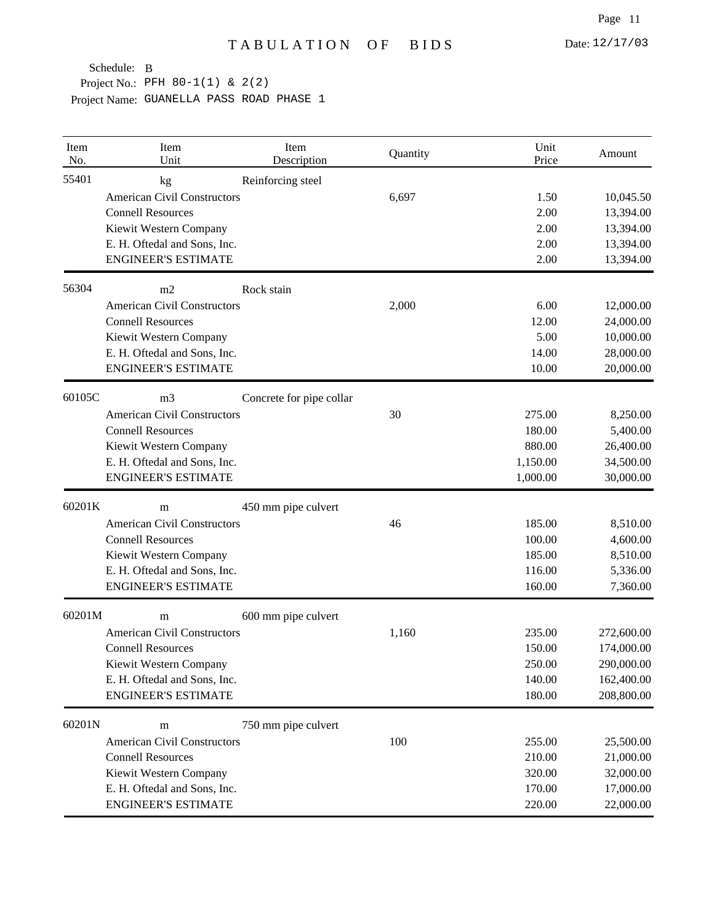| Item<br>No. | Item<br>Unit                       | Item<br>Description      | Quantity | Unit<br>Price | Amount     |
|-------------|------------------------------------|--------------------------|----------|---------------|------------|
| 55401       | kg                                 | Reinforcing steel        |          |               |            |
|             | <b>American Civil Constructors</b> |                          | 6,697    | 1.50          | 10,045.50  |
|             | <b>Connell Resources</b>           |                          |          | 2.00          | 13,394.00  |
|             | Kiewit Western Company             |                          |          | 2.00          | 13,394.00  |
|             | E. H. Oftedal and Sons, Inc.       |                          |          | 2.00          | 13,394.00  |
|             | <b>ENGINEER'S ESTIMATE</b>         |                          |          | 2.00          | 13,394.00  |
| 56304       | m2                                 | Rock stain               |          |               |            |
|             | <b>American Civil Constructors</b> |                          | 2,000    | 6.00          | 12,000.00  |
|             | <b>Connell Resources</b>           |                          |          | 12.00         | 24,000.00  |
|             | Kiewit Western Company             |                          |          | 5.00          | 10,000.00  |
|             | E. H. Oftedal and Sons, Inc.       |                          |          | 14.00         | 28,000.00  |
|             | <b>ENGINEER'S ESTIMATE</b>         |                          |          | 10.00         | 20,000.00  |
| 60105C      | m <sub>3</sub>                     | Concrete for pipe collar |          |               |            |
|             | <b>American Civil Constructors</b> |                          | 30       | 275.00        | 8,250.00   |
|             | <b>Connell Resources</b>           |                          |          | 180.00        | 5,400.00   |
|             | Kiewit Western Company             |                          |          | 880.00        | 26,400.00  |
|             | E. H. Oftedal and Sons, Inc.       |                          |          | 1,150.00      | 34,500.00  |
|             | <b>ENGINEER'S ESTIMATE</b>         |                          |          | 1,000.00      | 30,000.00  |
| 60201K      | m                                  | 450 mm pipe culvert      |          |               |            |
|             | <b>American Civil Constructors</b> |                          | 46       | 185.00        | 8,510.00   |
|             | <b>Connell Resources</b>           |                          |          | 100.00        | 4,600.00   |
|             | Kiewit Western Company             |                          |          | 185.00        | 8,510.00   |
|             | E. H. Oftedal and Sons, Inc.       |                          |          | 116.00        | 5,336.00   |
|             | <b>ENGINEER'S ESTIMATE</b>         |                          |          | 160.00        | 7,360.00   |
| 60201M      | m                                  | 600 mm pipe culvert      |          |               |            |
|             | <b>American Civil Constructors</b> |                          | 1,160    | 235.00        | 272,600.00 |
|             | <b>Connell Resources</b>           |                          |          | 150.00        | 174,000.00 |
|             | Kiewit Western Company             |                          |          | 250.00        | 290,000.00 |
|             | E. H. Oftedal and Sons, Inc.       |                          |          | 140.00        | 162,400.00 |
|             | <b>ENGINEER'S ESTIMATE</b>         |                          |          | 180.00        | 208,800.00 |
| 60201N      | m                                  | 750 mm pipe culvert      |          |               |            |
|             | <b>American Civil Constructors</b> |                          | 100      | 255.00        | 25,500.00  |
|             | <b>Connell Resources</b>           |                          |          | 210.00        | 21,000.00  |
|             | Kiewit Western Company             |                          |          | 320.00        | 32,000.00  |
|             | E. H. Oftedal and Sons, Inc.       |                          |          | 170.00        | 17,000.00  |
|             | <b>ENGINEER'S ESTIMATE</b>         |                          |          | 220.00        | 22,000.00  |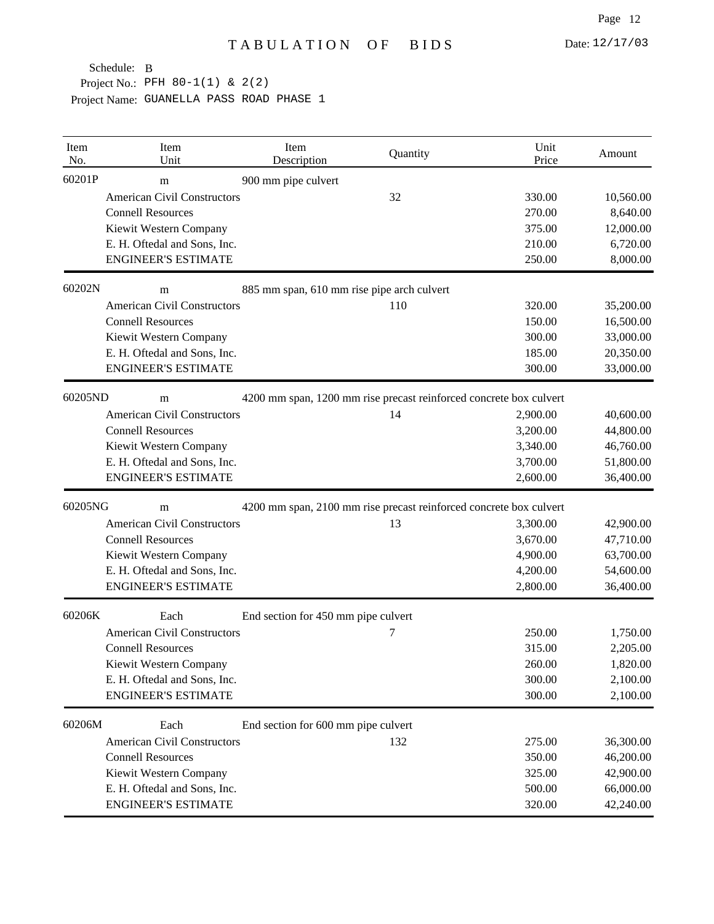| Item<br>No. | Item<br>Unit                                                            | Item<br>Description                                                | Quantity | Unit<br>Price | Amount    |  |
|-------------|-------------------------------------------------------------------------|--------------------------------------------------------------------|----------|---------------|-----------|--|
| 60201P      | m                                                                       | 900 mm pipe culvert                                                |          |               |           |  |
|             | <b>American Civil Constructors</b>                                      |                                                                    | 32       | 330.00        | 10,560.00 |  |
|             | <b>Connell Resources</b>                                                |                                                                    |          | 270.00        | 8,640.00  |  |
|             | Kiewit Western Company                                                  |                                                                    |          | 375.00        | 12,000.00 |  |
|             | E. H. Oftedal and Sons, Inc.                                            |                                                                    |          | 210.00        | 6,720.00  |  |
|             | <b>ENGINEER'S ESTIMATE</b>                                              |                                                                    |          | 250.00        | 8,000.00  |  |
| 60202N      | m                                                                       | 885 mm span, 610 mm rise pipe arch culvert                         |          |               |           |  |
|             | <b>American Civil Constructors</b>                                      |                                                                    | 110      | 320.00        | 35,200.00 |  |
|             | <b>Connell Resources</b>                                                |                                                                    |          | 150.00        | 16,500.00 |  |
|             | Kiewit Western Company                                                  |                                                                    |          | 300.00        | 33,000.00 |  |
|             | E. H. Oftedal and Sons, Inc.                                            |                                                                    |          | 185.00        | 20,350.00 |  |
|             | <b>ENGINEER'S ESTIMATE</b>                                              |                                                                    |          | 300.00        | 33,000.00 |  |
| 60205ND     | m                                                                       | 4200 mm span, 1200 mm rise precast reinforced concrete box culvert |          |               |           |  |
|             | <b>American Civil Constructors</b>                                      |                                                                    | 14       | 2,900.00      | 40,600.00 |  |
|             | <b>Connell Resources</b>                                                |                                                                    |          | 3,200.00      | 44,800.00 |  |
|             | Kiewit Western Company                                                  |                                                                    |          | 3,340.00      | 46,760.00 |  |
|             | E. H. Oftedal and Sons, Inc.                                            |                                                                    |          | 3,700.00      | 51,800.00 |  |
|             | <b>ENGINEER'S ESTIMATE</b>                                              |                                                                    |          | 2,600.00      | 36,400.00 |  |
| 60205NG     | 4200 mm span, 2100 mm rise precast reinforced concrete box culvert<br>m |                                                                    |          |               |           |  |
|             | <b>American Civil Constructors</b>                                      |                                                                    | 13       | 3,300.00      | 42,900.00 |  |
|             | <b>Connell Resources</b>                                                |                                                                    |          | 3,670.00      | 47,710.00 |  |
|             | Kiewit Western Company                                                  |                                                                    |          | 4,900.00      | 63,700.00 |  |
|             | E. H. Oftedal and Sons, Inc.                                            |                                                                    |          | 4,200.00      | 54,600.00 |  |
|             | <b>ENGINEER'S ESTIMATE</b>                                              |                                                                    |          | 2,800.00      | 36,400.00 |  |
| 60206K      | Each                                                                    | End section for 450 mm pipe culvert                                |          |               |           |  |
|             | <b>American Civil Constructors</b>                                      |                                                                    | 7        | 250.00        | 1,750.00  |  |
|             | <b>Connell Resources</b>                                                |                                                                    |          | 315.00        | 2,205.00  |  |
|             | Kiewit Western Company                                                  |                                                                    |          | 260.00        | 1,820.00  |  |
|             | E. H. Oftedal and Sons, Inc.                                            |                                                                    |          | 300.00        | 2,100.00  |  |
|             | <b>ENGINEER'S ESTIMATE</b>                                              |                                                                    |          | 300.00        | 2,100.00  |  |
| 60206M      | Each                                                                    | End section for 600 mm pipe culvert                                |          |               |           |  |
|             | <b>American Civil Constructors</b>                                      |                                                                    | 132      | 275.00        | 36,300.00 |  |
|             | <b>Connell Resources</b>                                                |                                                                    |          | 350.00        | 46,200.00 |  |
|             | Kiewit Western Company                                                  |                                                                    |          | 325.00        | 42,900.00 |  |
|             | E. H. Oftedal and Sons, Inc.                                            |                                                                    |          | 500.00        | 66,000.00 |  |
|             | <b>ENGINEER'S ESTIMATE</b>                                              |                                                                    |          | 320.00        | 42,240.00 |  |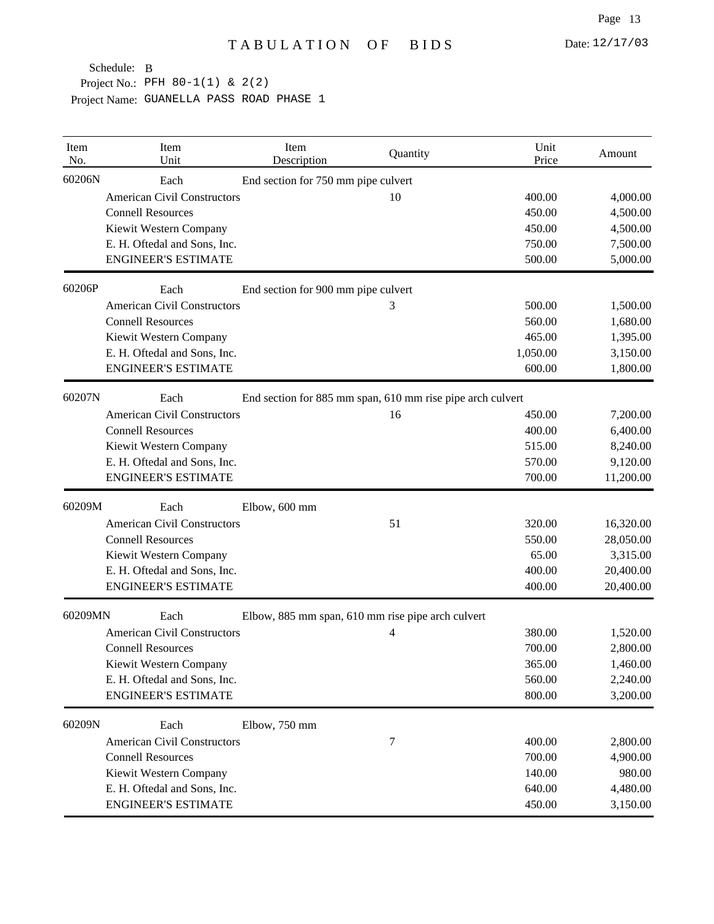| Item<br>No. | Item<br>Unit                                                       | Item<br>Description                 | Quantity                                          | Unit<br>Price | Amount    |  |
|-------------|--------------------------------------------------------------------|-------------------------------------|---------------------------------------------------|---------------|-----------|--|
| 60206N      | Each                                                               | End section for 750 mm pipe culvert |                                                   |               |           |  |
|             | <b>American Civil Constructors</b>                                 |                                     | 10                                                | 400.00        | 4,000.00  |  |
|             | <b>Connell Resources</b>                                           |                                     |                                                   | 450.00        | 4,500.00  |  |
|             | Kiewit Western Company                                             |                                     |                                                   | 450.00        | 4,500.00  |  |
|             | E. H. Oftedal and Sons, Inc.                                       |                                     |                                                   | 750.00        | 7,500.00  |  |
|             | <b>ENGINEER'S ESTIMATE</b>                                         |                                     |                                                   | 500.00        | 5,000.00  |  |
| 60206P      | Each                                                               | End section for 900 mm pipe culvert |                                                   |               |           |  |
|             | <b>American Civil Constructors</b>                                 |                                     | 3                                                 | 500.00        | 1,500.00  |  |
|             | <b>Connell Resources</b>                                           |                                     |                                                   | 560.00        | 1,680.00  |  |
|             | Kiewit Western Company                                             |                                     |                                                   | 465.00        | 1,395.00  |  |
|             | E. H. Oftedal and Sons, Inc.                                       |                                     |                                                   | 1,050.00      | 3,150.00  |  |
|             | <b>ENGINEER'S ESTIMATE</b>                                         |                                     |                                                   | 600.00        | 1,800.00  |  |
| 60207N      | Each<br>End section for 885 mm span, 610 mm rise pipe arch culvert |                                     |                                                   |               |           |  |
|             | <b>American Civil Constructors</b>                                 |                                     | 16                                                | 450.00        | 7,200.00  |  |
|             | <b>Connell Resources</b>                                           |                                     |                                                   | 400.00        | 6,400.00  |  |
|             | Kiewit Western Company                                             |                                     |                                                   | 515.00        | 8,240.00  |  |
|             | E. H. Oftedal and Sons, Inc.                                       |                                     |                                                   | 570.00        | 9,120.00  |  |
|             | <b>ENGINEER'S ESTIMATE</b>                                         |                                     |                                                   | 700.00        | 11,200.00 |  |
| 60209M      | Each                                                               | Elbow, 600 mm                       |                                                   |               |           |  |
|             | <b>American Civil Constructors</b>                                 |                                     | 51                                                | 320.00        | 16,320.00 |  |
|             | <b>Connell Resources</b>                                           |                                     |                                                   | 550.00        | 28,050.00 |  |
|             | Kiewit Western Company                                             |                                     |                                                   | 65.00         | 3,315.00  |  |
|             | E. H. Oftedal and Sons, Inc.                                       |                                     |                                                   | 400.00        | 20,400.00 |  |
|             | <b>ENGINEER'S ESTIMATE</b>                                         |                                     |                                                   | 400.00        | 20,400.00 |  |
| 60209MN     | Each                                                               |                                     | Elbow, 885 mm span, 610 mm rise pipe arch culvert |               |           |  |
|             | <b>American Civil Constructors</b>                                 |                                     | 4                                                 | 380.00        | 1,520.00  |  |
|             | <b>Connell Resources</b>                                           |                                     |                                                   | 700.00        | 2,800.00  |  |
|             | Kiewit Western Company                                             |                                     |                                                   | 365.00        | 1,460.00  |  |
|             | E. H. Oftedal and Sons, Inc.                                       |                                     |                                                   | 560.00        | 2,240.00  |  |
|             | <b>ENGINEER'S ESTIMATE</b>                                         |                                     |                                                   | 800.00        | 3,200.00  |  |
| 60209N      | Each                                                               | Elbow, 750 mm                       |                                                   |               |           |  |
|             | <b>American Civil Constructors</b>                                 |                                     | 7                                                 | 400.00        | 2,800.00  |  |
|             | <b>Connell Resources</b>                                           |                                     |                                                   | 700.00        | 4,900.00  |  |
|             | Kiewit Western Company                                             |                                     |                                                   | 140.00        | 980.00    |  |
|             | E. H. Oftedal and Sons, Inc.                                       |                                     |                                                   | 640.00        | 4,480.00  |  |
|             | <b>ENGINEER'S ESTIMATE</b>                                         |                                     |                                                   | 450.00        | 3,150.00  |  |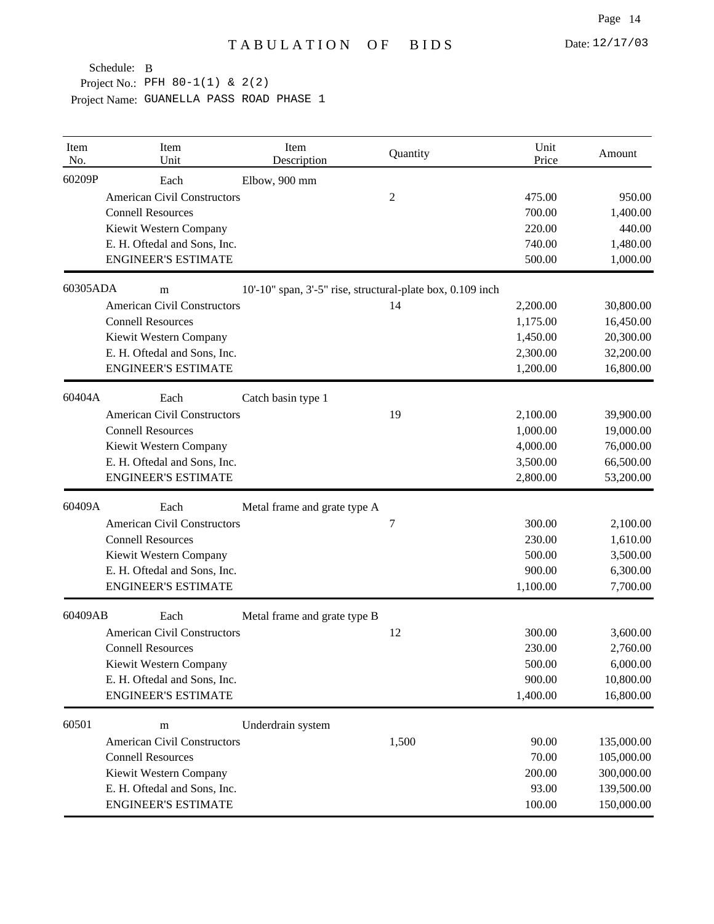| Item<br>No. | Item<br>Unit                       | Item<br>Description                                        | Quantity       | Unit<br>Price | Amount     |
|-------------|------------------------------------|------------------------------------------------------------|----------------|---------------|------------|
| 60209P      | Each                               | Elbow, 900 mm                                              |                |               |            |
|             | <b>American Civil Constructors</b> |                                                            | $\overline{c}$ | 475.00        | 950.00     |
|             | <b>Connell Resources</b>           |                                                            |                | 700.00        | 1,400.00   |
|             | Kiewit Western Company             |                                                            |                | 220.00        | 440.00     |
|             | E. H. Oftedal and Sons, Inc.       |                                                            |                | 740.00        | 1,480.00   |
|             | <b>ENGINEER'S ESTIMATE</b>         |                                                            |                | 500.00        | 1,000.00   |
| 60305ADA    | m                                  | 10'-10" span, 3'-5" rise, structural-plate box, 0.109 inch |                |               |            |
|             | <b>American Civil Constructors</b> |                                                            | 14             | 2,200.00      | 30,800.00  |
|             | <b>Connell Resources</b>           |                                                            |                | 1,175.00      | 16,450.00  |
|             | Kiewit Western Company             |                                                            |                | 1,450.00      | 20,300.00  |
|             | E. H. Oftedal and Sons, Inc.       |                                                            |                | 2,300.00      | 32,200.00  |
|             | <b>ENGINEER'S ESTIMATE</b>         |                                                            |                | 1,200.00      | 16,800.00  |
| 60404A      | Each                               | Catch basin type 1                                         |                |               |            |
|             | <b>American Civil Constructors</b> |                                                            | 19             | 2,100.00      | 39,900.00  |
|             | <b>Connell Resources</b>           |                                                            |                | 1,000.00      | 19,000.00  |
|             | Kiewit Western Company             |                                                            |                | 4,000.00      | 76,000.00  |
|             | E. H. Oftedal and Sons, Inc.       |                                                            |                | 3,500.00      | 66,500.00  |
|             | <b>ENGINEER'S ESTIMATE</b>         |                                                            |                | 2,800.00      | 53,200.00  |
| 60409A      | Each                               | Metal frame and grate type A                               |                |               |            |
|             | <b>American Civil Constructors</b> |                                                            | 7              | 300.00        | 2,100.00   |
|             | <b>Connell Resources</b>           |                                                            |                | 230.00        | 1,610.00   |
|             | Kiewit Western Company             |                                                            |                | 500.00        | 3,500.00   |
|             | E. H. Oftedal and Sons, Inc.       |                                                            |                | 900.00        | 6,300.00   |
|             | <b>ENGINEER'S ESTIMATE</b>         |                                                            |                | 1,100.00      | 7,700.00   |
| 60409AB     | Each                               | Metal frame and grate type B                               |                |               |            |
|             | <b>American Civil Constructors</b> |                                                            | 12             | 300.00        | 3,600.00   |
|             | <b>Connell Resources</b>           |                                                            |                | 230.00        | 2,760.00   |
|             | Kiewit Western Company             |                                                            |                | 500.00        | 6,000.00   |
|             | E. H. Oftedal and Sons, Inc.       |                                                            |                | 900.00        | 10,800.00  |
|             | <b>ENGINEER'S ESTIMATE</b>         |                                                            |                | 1,400.00      | 16,800.00  |
| 60501       | m                                  | Underdrain system                                          |                |               |            |
|             | <b>American Civil Constructors</b> |                                                            | 1,500          | 90.00         | 135,000.00 |
|             | <b>Connell Resources</b>           |                                                            |                | 70.00         | 105,000.00 |
|             | Kiewit Western Company             |                                                            |                | 200.00        | 300,000.00 |
|             | E. H. Oftedal and Sons, Inc.       |                                                            |                | 93.00         | 139,500.00 |
|             | <b>ENGINEER'S ESTIMATE</b>         |                                                            |                | 100.00        | 150,000.00 |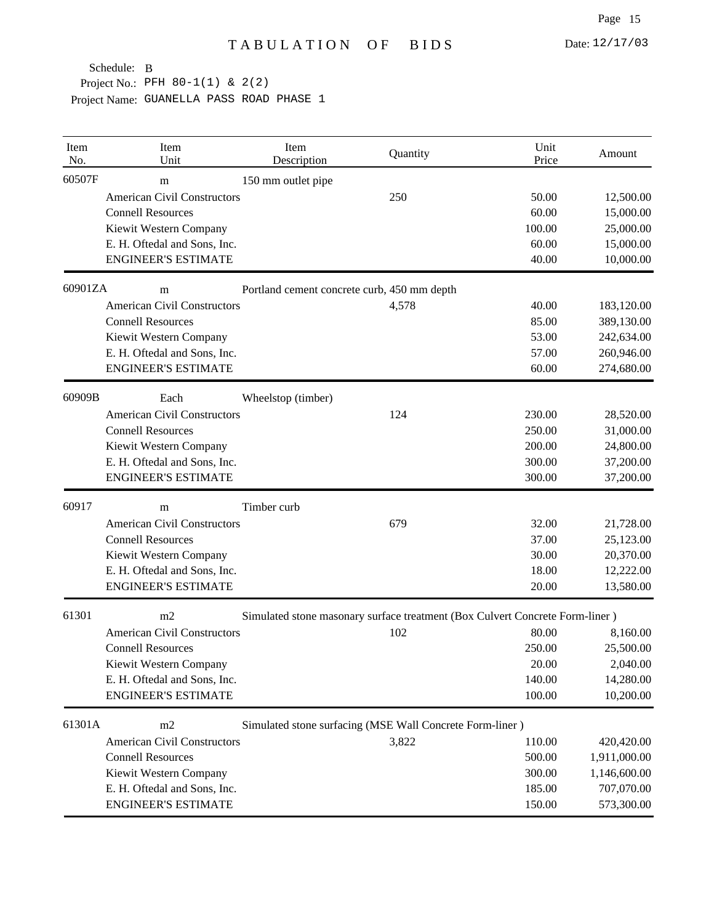| Item<br>No. | Item<br>Unit                       | Item<br>Description | Quantity                                                                     | Unit<br>Price | Amount       |
|-------------|------------------------------------|---------------------|------------------------------------------------------------------------------|---------------|--------------|
| 60507F      | m                                  | 150 mm outlet pipe  |                                                                              |               |              |
|             | <b>American Civil Constructors</b> |                     | 250                                                                          | 50.00         | 12,500.00    |
|             | <b>Connell Resources</b>           |                     |                                                                              | 60.00         | 15,000.00    |
|             | Kiewit Western Company             |                     |                                                                              | 100.00        | 25,000.00    |
|             | E. H. Oftedal and Sons, Inc.       |                     |                                                                              | 60.00         | 15,000.00    |
|             | <b>ENGINEER'S ESTIMATE</b>         |                     |                                                                              | 40.00         | 10,000.00    |
| 60901ZA     | m                                  |                     | Portland cement concrete curb, 450 mm depth                                  |               |              |
|             | <b>American Civil Constructors</b> |                     | 4,578                                                                        | 40.00         | 183,120.00   |
|             | <b>Connell Resources</b>           |                     |                                                                              | 85.00         | 389,130.00   |
|             | Kiewit Western Company             |                     |                                                                              | 53.00         | 242,634.00   |
|             | E. H. Oftedal and Sons, Inc.       |                     |                                                                              | 57.00         | 260,946.00   |
|             | <b>ENGINEER'S ESTIMATE</b>         |                     |                                                                              | 60.00         | 274,680.00   |
| 60909B      | Each                               | Wheelstop (timber)  |                                                                              |               |              |
|             | <b>American Civil Constructors</b> |                     | 124                                                                          | 230.00        | 28,520.00    |
|             | <b>Connell Resources</b>           |                     |                                                                              | 250.00        | 31,000.00    |
|             | Kiewit Western Company             |                     |                                                                              | 200.00        | 24,800.00    |
|             | E. H. Oftedal and Sons, Inc.       |                     |                                                                              | 300.00        | 37,200.00    |
|             | <b>ENGINEER'S ESTIMATE</b>         |                     |                                                                              | 300.00        | 37,200.00    |
| 60917       | m                                  | Timber curb         |                                                                              |               |              |
|             | <b>American Civil Constructors</b> |                     | 679                                                                          | 32.00         | 21,728.00    |
|             | <b>Connell Resources</b>           |                     |                                                                              | 37.00         | 25,123.00    |
|             | Kiewit Western Company             |                     |                                                                              | 30.00         | 20,370.00    |
|             | E. H. Oftedal and Sons, Inc.       |                     |                                                                              | 18.00         | 12,222.00    |
|             | <b>ENGINEER'S ESTIMATE</b>         |                     |                                                                              | 20.00         | 13,580.00    |
| 61301       | m2                                 |                     | Simulated stone masonary surface treatment (Box Culvert Concrete Form-liner) |               |              |
|             | <b>American Civil Constructors</b> |                     | 102                                                                          | 80.00         | 8,160.00     |
|             | <b>Connell Resources</b>           |                     |                                                                              | 250.00        | 25,500.00    |
|             | Kiewit Western Company             |                     |                                                                              | 20.00         | 2,040.00     |
|             | E. H. Oftedal and Sons, Inc.       |                     |                                                                              | 140.00        | 14,280.00    |
|             | <b>ENGINEER'S ESTIMATE</b>         |                     |                                                                              | 100.00        | 10,200.00    |
| 61301A      | m2                                 |                     | Simulated stone surfacing (MSE Wall Concrete Form-liner)                     |               |              |
|             | <b>American Civil Constructors</b> |                     | 3,822                                                                        | 110.00        | 420,420.00   |
|             | <b>Connell Resources</b>           |                     |                                                                              | 500.00        | 1,911,000.00 |
|             | Kiewit Western Company             |                     |                                                                              | 300.00        | 1,146,600.00 |
|             | E. H. Oftedal and Sons, Inc.       |                     |                                                                              | 185.00        | 707,070.00   |
|             | <b>ENGINEER'S ESTIMATE</b>         |                     |                                                                              | 150.00        | 573,300.00   |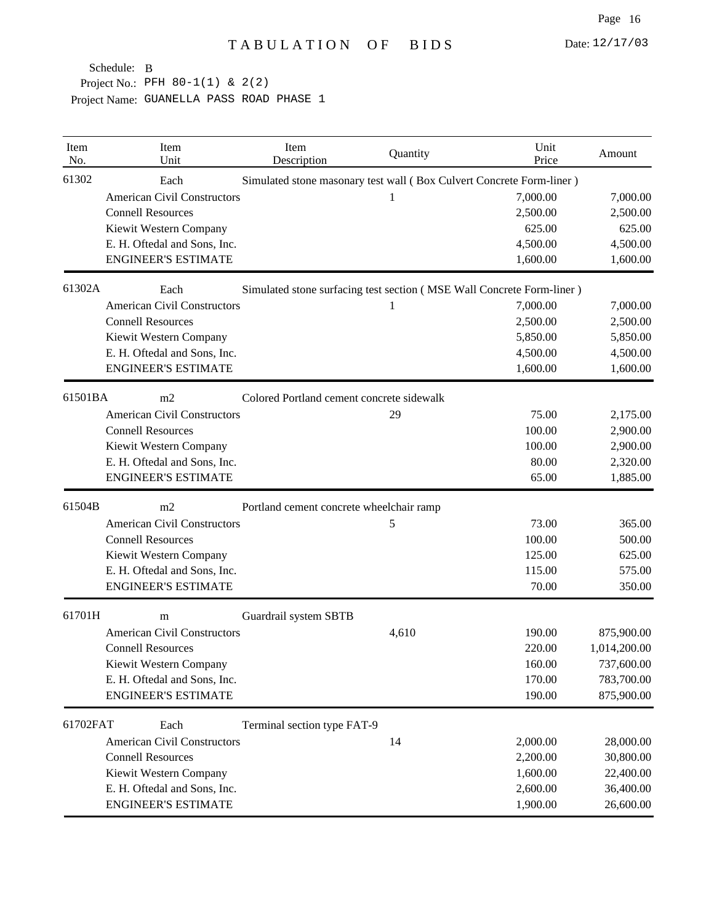| Item<br>No. | Item<br>Unit                                   | Item<br>Description                       | Quantity | Unit<br>Price                                                         | Amount       |  |  |
|-------------|------------------------------------------------|-------------------------------------------|----------|-----------------------------------------------------------------------|--------------|--|--|
| 61302       | Each                                           |                                           |          | Simulated stone masonary test wall (Box Culvert Concrete Form-liner)  |              |  |  |
|             | <b>American Civil Constructors</b>             |                                           | 1        | 7,000.00                                                              | 7,000.00     |  |  |
|             | <b>Connell Resources</b>                       |                                           |          | 2,500.00                                                              | 2,500.00     |  |  |
|             | Kiewit Western Company                         |                                           |          | 625.00                                                                | 625.00       |  |  |
|             | E. H. Oftedal and Sons, Inc.                   |                                           |          | 4,500.00                                                              | 4,500.00     |  |  |
|             | <b>ENGINEER'S ESTIMATE</b>                     |                                           |          | 1,600.00                                                              | 1,600.00     |  |  |
| 61302A      | Each                                           |                                           |          | Simulated stone surfacing test section (MSE Wall Concrete Form-liner) |              |  |  |
|             | <b>American Civil Constructors</b>             |                                           | 1        | 7,000.00                                                              | 7,000.00     |  |  |
|             | <b>Connell Resources</b>                       |                                           |          | 2,500.00                                                              | 2,500.00     |  |  |
|             | Kiewit Western Company                         |                                           |          | 5,850.00                                                              | 5,850.00     |  |  |
|             | E. H. Oftedal and Sons, Inc.                   |                                           |          | 4,500.00                                                              | 4,500.00     |  |  |
|             | <b>ENGINEER'S ESTIMATE</b>                     |                                           |          | 1,600.00                                                              | 1,600.00     |  |  |
| 61501BA     | m2                                             | Colored Portland cement concrete sidewalk |          |                                                                       |              |  |  |
|             | <b>American Civil Constructors</b>             |                                           | 29       | 75.00                                                                 | 2,175.00     |  |  |
|             | <b>Connell Resources</b>                       |                                           |          | 100.00                                                                | 2,900.00     |  |  |
|             | Kiewit Western Company                         |                                           |          | 100.00                                                                | 2,900.00     |  |  |
|             | E. H. Oftedal and Sons, Inc.                   |                                           |          | 80.00                                                                 | 2,320.00     |  |  |
|             | <b>ENGINEER'S ESTIMATE</b>                     |                                           |          | 65.00                                                                 | 1,885.00     |  |  |
| 61504B      | m2<br>Portland cement concrete wheelchair ramp |                                           |          |                                                                       |              |  |  |
|             | <b>American Civil Constructors</b>             |                                           | 5        | 73.00                                                                 | 365.00       |  |  |
|             | <b>Connell Resources</b>                       |                                           |          | 100.00                                                                | 500.00       |  |  |
|             | Kiewit Western Company                         |                                           |          | 125.00                                                                | 625.00       |  |  |
|             | E. H. Oftedal and Sons, Inc.                   |                                           |          | 115.00                                                                | 575.00       |  |  |
|             | <b>ENGINEER'S ESTIMATE</b>                     |                                           |          | 70.00                                                                 | 350.00       |  |  |
| 61701H      | m                                              | Guardrail system SBTB                     |          |                                                                       |              |  |  |
|             | <b>American Civil Constructors</b>             |                                           | 4,610    | 190.00                                                                | 875,900.00   |  |  |
|             | <b>Connell Resources</b>                       |                                           |          | 220.00                                                                | 1,014,200.00 |  |  |
|             | Kiewit Western Company                         |                                           |          | 160.00                                                                | 737,600.00   |  |  |
|             | E. H. Oftedal and Sons, Inc.                   |                                           |          | 170.00                                                                | 783,700.00   |  |  |
|             | <b>ENGINEER'S ESTIMATE</b>                     |                                           |          | 190.00                                                                | 875,900.00   |  |  |
| 61702FAT    | Each                                           | Terminal section type FAT-9               |          |                                                                       |              |  |  |
|             | <b>American Civil Constructors</b>             |                                           | 14       | 2,000.00                                                              | 28,000.00    |  |  |
|             | <b>Connell Resources</b>                       |                                           |          | 2,200.00                                                              | 30,800.00    |  |  |
|             | Kiewit Western Company                         |                                           |          | 1,600.00                                                              | 22,400.00    |  |  |
|             | E. H. Oftedal and Sons, Inc.                   |                                           |          | 2,600.00                                                              | 36,400.00    |  |  |
|             | <b>ENGINEER'S ESTIMATE</b>                     |                                           |          | 1,900.00                                                              | 26,600.00    |  |  |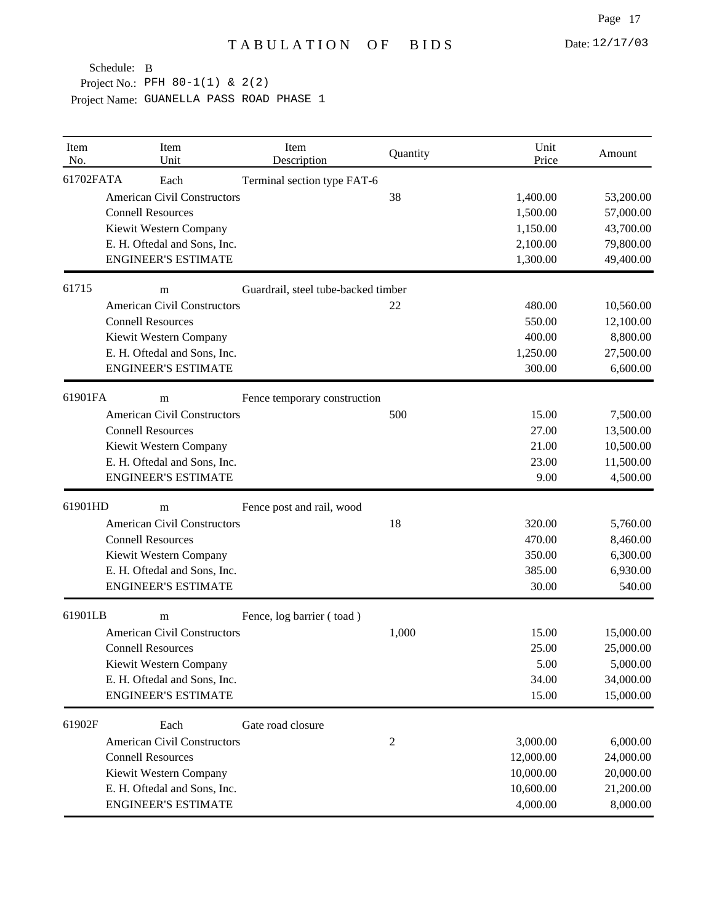| Item<br>No. | Item<br>Unit                       | Item<br>Description                 | Quantity       | Unit<br>Price | Amount    |
|-------------|------------------------------------|-------------------------------------|----------------|---------------|-----------|
| 61702FATA   | Each                               | Terminal section type FAT-6         |                |               |           |
|             | <b>American Civil Constructors</b> |                                     | 38             | 1,400.00      | 53,200.00 |
|             | <b>Connell Resources</b>           |                                     |                | 1,500.00      | 57,000.00 |
|             | Kiewit Western Company             |                                     |                | 1,150.00      | 43,700.00 |
|             | E. H. Oftedal and Sons, Inc.       |                                     |                | 2,100.00      | 79,800.00 |
|             | <b>ENGINEER'S ESTIMATE</b>         |                                     |                | 1,300.00      | 49,400.00 |
| 61715       | m                                  | Guardrail, steel tube-backed timber |                |               |           |
|             | <b>American Civil Constructors</b> |                                     | 22             | 480.00        | 10,560.00 |
|             | <b>Connell Resources</b>           |                                     |                | 550.00        | 12,100.00 |
|             | Kiewit Western Company             |                                     |                | 400.00        | 8,800.00  |
|             | E. H. Oftedal and Sons, Inc.       |                                     |                | 1,250.00      | 27,500.00 |
|             | <b>ENGINEER'S ESTIMATE</b>         |                                     |                | 300.00        | 6,600.00  |
| 61901FA     | m                                  | Fence temporary construction        |                |               |           |
|             | <b>American Civil Constructors</b> |                                     | 500            | 15.00         | 7,500.00  |
|             | <b>Connell Resources</b>           |                                     |                | 27.00         | 13,500.00 |
|             | Kiewit Western Company             |                                     |                | 21.00         | 10,500.00 |
|             | E. H. Oftedal and Sons, Inc.       |                                     |                | 23.00         | 11,500.00 |
|             | <b>ENGINEER'S ESTIMATE</b>         |                                     |                | 9.00          | 4,500.00  |
| 61901HD     | m                                  | Fence post and rail, wood           |                |               |           |
|             | <b>American Civil Constructors</b> |                                     | 18             | 320.00        | 5,760.00  |
|             | <b>Connell Resources</b>           |                                     |                | 470.00        | 8,460.00  |
|             | Kiewit Western Company             |                                     |                | 350.00        | 6,300.00  |
|             | E. H. Oftedal and Sons, Inc.       |                                     |                | 385.00        | 6,930.00  |
|             | <b>ENGINEER'S ESTIMATE</b>         |                                     |                | 30.00         | 540.00    |
| 61901LB     | m                                  | Fence, log barrier (toad)           |                |               |           |
|             | <b>American Civil Constructors</b> |                                     | 1,000          | 15.00         | 15,000.00 |
|             | <b>Connell Resources</b>           |                                     |                | 25.00         | 25,000.00 |
|             | Kiewit Western Company             |                                     |                | 5.00          | 5,000.00  |
|             | E. H. Oftedal and Sons, Inc.       |                                     |                | 34.00         | 34,000.00 |
|             | <b>ENGINEER'S ESTIMATE</b>         |                                     |                | 15.00         | 15,000.00 |
| 61902F      | Each                               | Gate road closure                   |                |               |           |
|             | <b>American Civil Constructors</b> |                                     | $\overline{c}$ | 3,000.00      | 6,000.00  |
|             | <b>Connell Resources</b>           |                                     |                | 12,000.00     | 24,000.00 |
|             | Kiewit Western Company             |                                     |                | 10,000.00     | 20,000.00 |
|             | E. H. Oftedal and Sons, Inc.       |                                     |                | 10,600.00     | 21,200.00 |
|             | <b>ENGINEER'S ESTIMATE</b>         |                                     |                | 4,000.00      | 8,000.00  |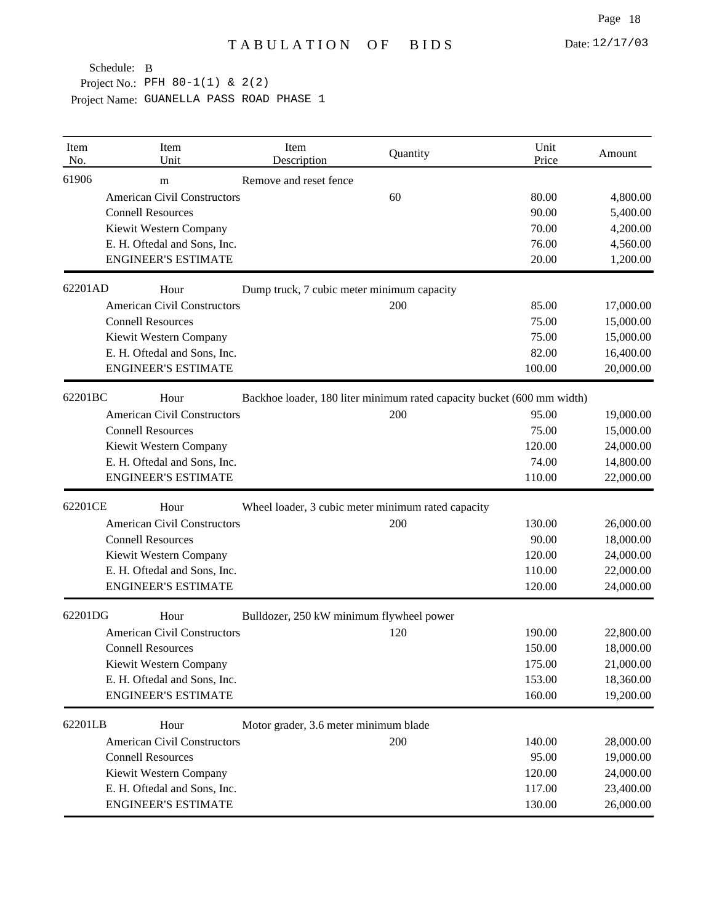| Item<br>No. | Item<br>Unit                       | Item<br>Description                                                    | Quantity | Unit<br>Price | Amount    |
|-------------|------------------------------------|------------------------------------------------------------------------|----------|---------------|-----------|
| 61906       | m                                  | Remove and reset fence                                                 |          |               |           |
|             | <b>American Civil Constructors</b> |                                                                        | 60       | 80.00         | 4,800.00  |
|             | <b>Connell Resources</b>           |                                                                        |          | 90.00         | 5,400.00  |
|             | Kiewit Western Company             |                                                                        |          | 70.00         | 4,200.00  |
|             | E. H. Oftedal and Sons, Inc.       |                                                                        |          | 76.00         | 4,560.00  |
|             | <b>ENGINEER'S ESTIMATE</b>         |                                                                        |          | 20.00         | 1,200.00  |
| 62201AD     | Hour                               | Dump truck, 7 cubic meter minimum capacity                             |          |               |           |
|             | <b>American Civil Constructors</b> |                                                                        | 200      | 85.00         | 17,000.00 |
|             | <b>Connell Resources</b>           |                                                                        |          | 75.00         | 15,000.00 |
|             | Kiewit Western Company             |                                                                        |          | 75.00         | 15,000.00 |
|             | E. H. Oftedal and Sons, Inc.       |                                                                        |          | 82.00         | 16,400.00 |
|             | <b>ENGINEER'S ESTIMATE</b>         |                                                                        |          | 100.00        | 20,000.00 |
| 62201BC     | Hour                               | Backhoe loader, 180 liter minimum rated capacity bucket (600 mm width) |          |               |           |
|             | <b>American Civil Constructors</b> |                                                                        | 200      | 95.00         | 19,000.00 |
|             | <b>Connell Resources</b>           |                                                                        |          | 75.00         | 15,000.00 |
|             | Kiewit Western Company             |                                                                        |          | 120.00        | 24,000.00 |
|             | E. H. Oftedal and Sons, Inc.       |                                                                        |          | 74.00         | 14,800.00 |
|             | <b>ENGINEER'S ESTIMATE</b>         |                                                                        |          | 110.00        | 22,000.00 |
| 62201CE     | Hour                               | Wheel loader, 3 cubic meter minimum rated capacity                     |          |               |           |
|             | <b>American Civil Constructors</b> |                                                                        | 200      | 130.00        | 26,000.00 |
|             | <b>Connell Resources</b>           |                                                                        |          | 90.00         | 18,000.00 |
|             | Kiewit Western Company             |                                                                        |          | 120.00        | 24,000.00 |
|             | E. H. Oftedal and Sons, Inc.       |                                                                        |          | 110.00        | 22,000.00 |
|             | <b>ENGINEER'S ESTIMATE</b>         |                                                                        |          | 120.00        | 24,000.00 |
| 62201DG     | Hour                               | Bulldozer, 250 kW minimum flywheel power                               |          |               |           |
|             | <b>American Civil Constructors</b> |                                                                        | 120      | 190.00        | 22,800.00 |
|             | <b>Connell Resources</b>           |                                                                        |          | 150.00        | 18,000.00 |
|             | Kiewit Western Company             |                                                                        |          | 175.00        | 21,000.00 |
|             | E. H. Oftedal and Sons, Inc.       |                                                                        |          | 153.00        | 18,360.00 |
|             | <b>ENGINEER'S ESTIMATE</b>         |                                                                        |          | 160.00        | 19,200.00 |
| 62201LB     | Hour                               | Motor grader, 3.6 meter minimum blade                                  |          |               |           |
|             | <b>American Civil Constructors</b> |                                                                        | 200      | 140.00        | 28,000.00 |
|             | <b>Connell Resources</b>           |                                                                        |          | 95.00         | 19,000.00 |
|             | Kiewit Western Company             |                                                                        |          | 120.00        | 24,000.00 |
|             | E. H. Oftedal and Sons, Inc.       |                                                                        |          | 117.00        | 23,400.00 |
|             | <b>ENGINEER'S ESTIMATE</b>         |                                                                        |          | 130.00        | 26,000.00 |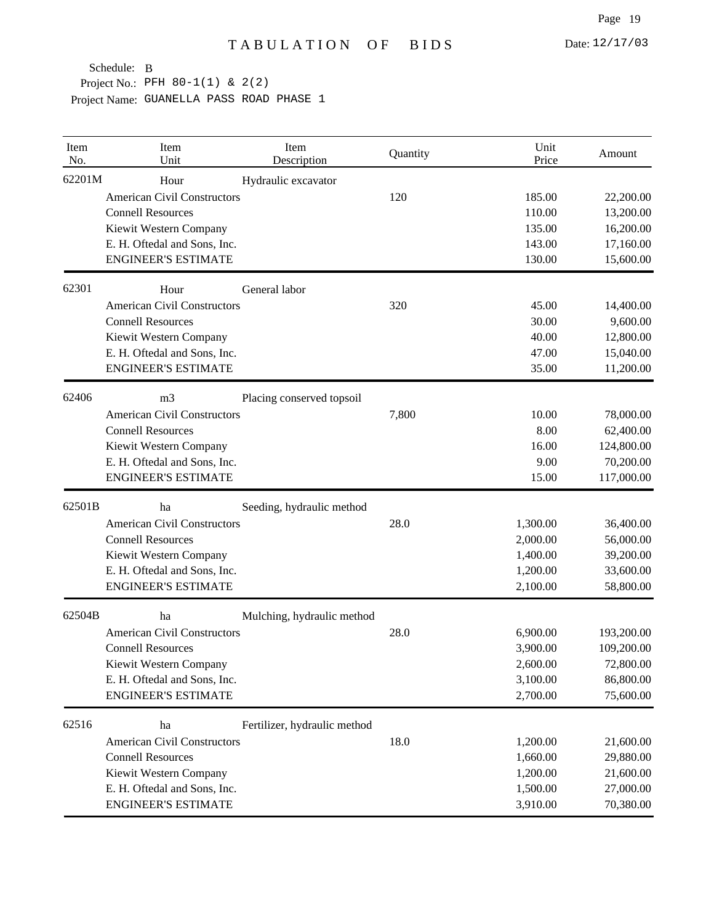| Item<br>No. | Item<br>Unit                       | Item<br>Description          | Quantity | Unit<br>Price | Amount     |
|-------------|------------------------------------|------------------------------|----------|---------------|------------|
| 62201M      | Hour                               | Hydraulic excavator          |          |               |            |
|             | <b>American Civil Constructors</b> |                              | 120      | 185.00        | 22,200.00  |
|             | <b>Connell Resources</b>           |                              |          | 110.00        | 13,200.00  |
|             | Kiewit Western Company             |                              |          | 135.00        | 16,200.00  |
|             | E. H. Oftedal and Sons, Inc.       |                              |          | 143.00        | 17,160.00  |
|             | <b>ENGINEER'S ESTIMATE</b>         |                              |          | 130.00        | 15,600.00  |
| 62301       | Hour                               | General labor                |          |               |            |
|             | <b>American Civil Constructors</b> |                              | 320      | 45.00         | 14,400.00  |
|             | <b>Connell Resources</b>           |                              |          | 30.00         | 9,600.00   |
|             | Kiewit Western Company             |                              |          | 40.00         | 12,800.00  |
|             | E. H. Oftedal and Sons, Inc.       |                              |          | 47.00         | 15,040.00  |
|             | <b>ENGINEER'S ESTIMATE</b>         |                              |          | 35.00         | 11,200.00  |
| 62406       | m <sub>3</sub>                     | Placing conserved topsoil    |          |               |            |
|             | <b>American Civil Constructors</b> |                              | 7,800    | 10.00         | 78,000.00  |
|             | <b>Connell Resources</b>           |                              |          | 8.00          | 62,400.00  |
|             | Kiewit Western Company             |                              |          | 16.00         | 124,800.00 |
|             | E. H. Oftedal and Sons, Inc.       |                              |          | 9.00          | 70,200.00  |
|             | <b>ENGINEER'S ESTIMATE</b>         |                              |          | 15.00         | 117,000.00 |
| 62501B      | ha                                 | Seeding, hydraulic method    |          |               |            |
|             | <b>American Civil Constructors</b> |                              | 28.0     | 1,300.00      | 36,400.00  |
|             | <b>Connell Resources</b>           |                              |          | 2,000.00      | 56,000.00  |
|             | Kiewit Western Company             |                              |          | 1,400.00      | 39,200.00  |
|             | E. H. Oftedal and Sons, Inc.       |                              |          | 1,200.00      | 33,600.00  |
|             | <b>ENGINEER'S ESTIMATE</b>         |                              |          | 2,100.00      | 58,800.00  |
| 62504B      | ha                                 | Mulching, hydraulic method   |          |               |            |
|             | <b>American Civil Constructors</b> |                              | 28.0     | 6,900.00      | 193,200.00 |
|             | <b>Connell Resources</b>           |                              |          | 3,900.00      | 109,200.00 |
|             | Kiewit Western Company             |                              |          | 2,600.00      | 72,800.00  |
|             | E. H. Oftedal and Sons, Inc.       |                              |          | 3,100.00      | 86,800.00  |
|             | <b>ENGINEER'S ESTIMATE</b>         |                              |          | 2,700.00      | 75,600.00  |
| 62516       | ha                                 | Fertilizer, hydraulic method |          |               |            |
|             | <b>American Civil Constructors</b> |                              | 18.0     | 1,200.00      | 21,600.00  |
|             | <b>Connell Resources</b>           |                              |          | 1,660.00      | 29,880.00  |
|             | Kiewit Western Company             |                              |          | 1,200.00      | 21,600.00  |
|             | E. H. Oftedal and Sons, Inc.       |                              |          | 1,500.00      | 27,000.00  |
|             | <b>ENGINEER'S ESTIMATE</b>         |                              |          | 3,910.00      | 70,380.00  |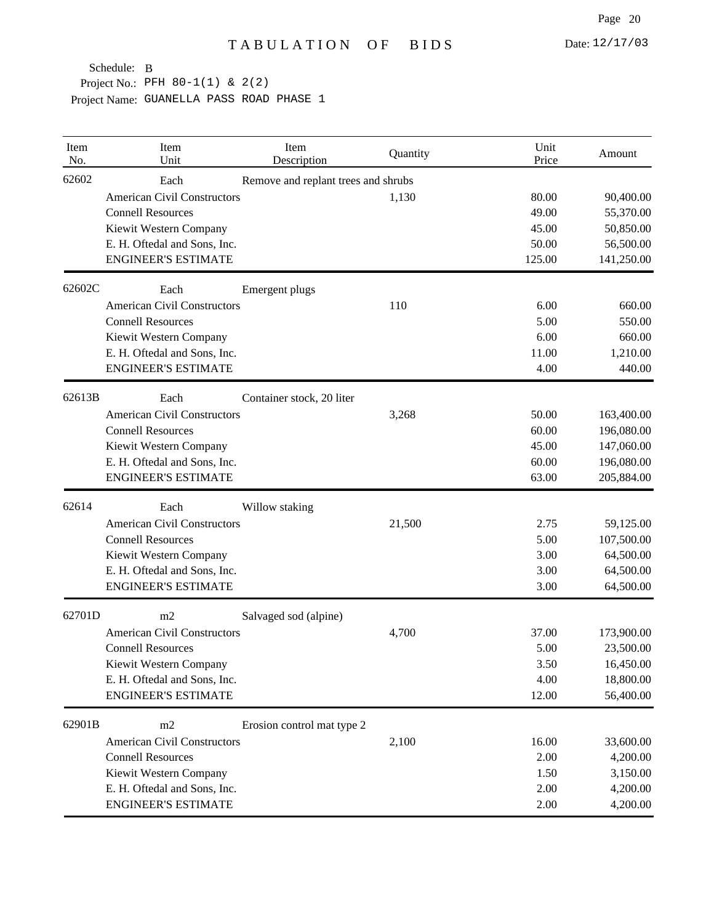| Item<br>No. | Item<br>Unit                       | Item<br>Description                 | Quantity | Unit<br>Price | Amount     |
|-------------|------------------------------------|-------------------------------------|----------|---------------|------------|
| 62602       | Each                               | Remove and replant trees and shrubs |          |               |            |
|             | <b>American Civil Constructors</b> |                                     | 1,130    | 80.00         | 90,400.00  |
|             | <b>Connell Resources</b>           |                                     |          | 49.00         | 55,370.00  |
|             | Kiewit Western Company             |                                     |          | 45.00         | 50,850.00  |
|             | E. H. Oftedal and Sons, Inc.       |                                     |          | 50.00         | 56,500.00  |
|             | <b>ENGINEER'S ESTIMATE</b>         |                                     |          | 125.00        | 141,250.00 |
| 62602C      | Each                               | Emergent plugs                      |          |               |            |
|             | <b>American Civil Constructors</b> |                                     | 110      | 6.00          | 660.00     |
|             | <b>Connell Resources</b>           |                                     |          | 5.00          | 550.00     |
|             | Kiewit Western Company             |                                     |          | 6.00          | 660.00     |
|             | E. H. Oftedal and Sons, Inc.       |                                     |          | 11.00         | 1,210.00   |
|             | <b>ENGINEER'S ESTIMATE</b>         |                                     |          | 4.00          | 440.00     |
| 62613B      | Each                               | Container stock, 20 liter           |          |               |            |
|             | <b>American Civil Constructors</b> |                                     | 3,268    | 50.00         | 163,400.00 |
|             | <b>Connell Resources</b>           |                                     |          | 60.00         | 196,080.00 |
|             | Kiewit Western Company             |                                     |          | 45.00         | 147,060.00 |
|             | E. H. Oftedal and Sons, Inc.       |                                     |          | 60.00         | 196,080.00 |
|             | <b>ENGINEER'S ESTIMATE</b>         |                                     |          | 63.00         | 205,884.00 |
| 62614       | Each                               | Willow staking                      |          |               |            |
|             | <b>American Civil Constructors</b> |                                     | 21,500   | 2.75          | 59,125.00  |
|             | <b>Connell Resources</b>           |                                     |          | 5.00          | 107,500.00 |
|             | Kiewit Western Company             |                                     |          | 3.00          | 64,500.00  |
|             | E. H. Oftedal and Sons, Inc.       |                                     |          | 3.00          | 64,500.00  |
|             | <b>ENGINEER'S ESTIMATE</b>         |                                     |          | 3.00          | 64,500.00  |
| 62701D      | m2                                 | Salvaged sod (alpine)               |          |               |            |
|             | <b>American Civil Constructors</b> |                                     | 4,700    | 37.00         | 173,900.00 |
|             | <b>Connell Resources</b>           |                                     |          | 5.00          | 23,500.00  |
|             | Kiewit Western Company             |                                     |          | 3.50          | 16,450.00  |
|             | E. H. Oftedal and Sons, Inc.       |                                     |          | 4.00          | 18,800.00  |
|             | <b>ENGINEER'S ESTIMATE</b>         |                                     |          | 12.00         | 56,400.00  |
| 62901B      | m2                                 | Erosion control mat type 2          |          |               |            |
|             | <b>American Civil Constructors</b> |                                     | 2,100    | 16.00         | 33,600.00  |
|             | <b>Connell Resources</b>           |                                     |          | 2.00          | 4,200.00   |
|             | Kiewit Western Company             |                                     |          | 1.50          | 3,150.00   |
|             | E. H. Oftedal and Sons, Inc.       |                                     |          | 2.00          | 4,200.00   |
|             | <b>ENGINEER'S ESTIMATE</b>         |                                     |          | 2.00          | 4,200.00   |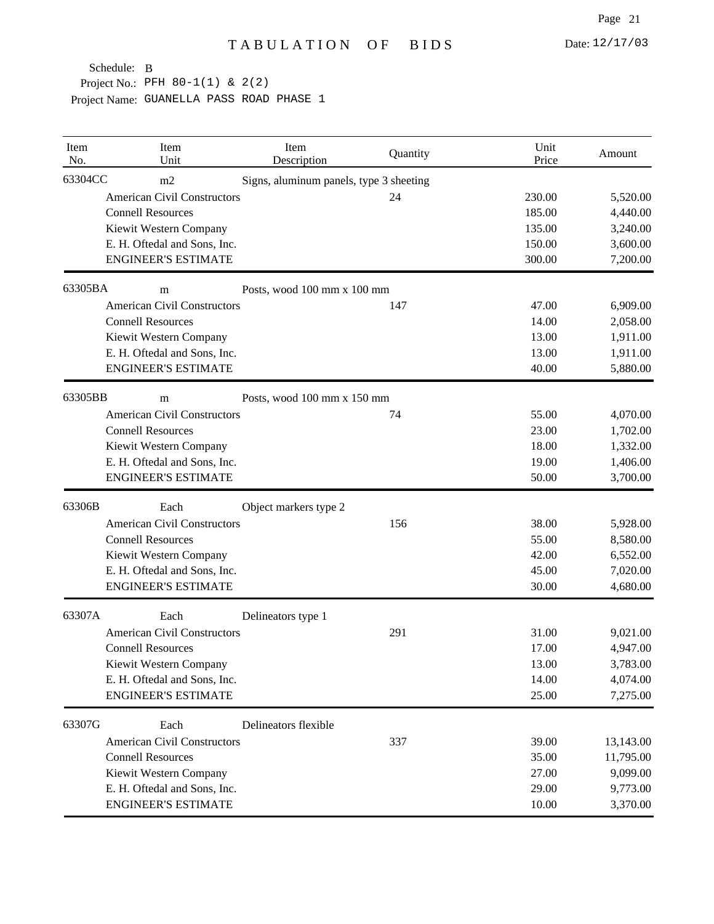| Item<br>No. | Item<br>Unit                       | Item<br>Description                     | Quantity | Unit<br>Price | Amount    |
|-------------|------------------------------------|-----------------------------------------|----------|---------------|-----------|
| 63304CC     | m2                                 | Signs, aluminum panels, type 3 sheeting |          |               |           |
|             | <b>American Civil Constructors</b> |                                         | 24       | 230.00        | 5,520.00  |
|             | <b>Connell Resources</b>           |                                         |          | 185.00        | 4,440.00  |
|             | Kiewit Western Company             |                                         |          | 135.00        | 3,240.00  |
|             | E. H. Oftedal and Sons, Inc.       |                                         |          | 150.00        | 3,600.00  |
|             | <b>ENGINEER'S ESTIMATE</b>         |                                         |          | 300.00        | 7,200.00  |
| 63305BA     | m                                  | Posts, wood 100 mm x 100 mm             |          |               |           |
|             | <b>American Civil Constructors</b> |                                         | 147      | 47.00         | 6,909.00  |
|             | <b>Connell Resources</b>           |                                         |          | 14.00         | 2,058.00  |
|             | Kiewit Western Company             |                                         |          | 13.00         | 1,911.00  |
|             | E. H. Oftedal and Sons, Inc.       |                                         |          | 13.00         | 1,911.00  |
|             | <b>ENGINEER'S ESTIMATE</b>         |                                         |          | 40.00         | 5,880.00  |
| 63305BB     | m                                  | Posts, wood 100 mm x 150 mm             |          |               |           |
|             | <b>American Civil Constructors</b> |                                         | 74       | 55.00         | 4,070.00  |
|             | <b>Connell Resources</b>           |                                         |          | 23.00         | 1,702.00  |
|             | Kiewit Western Company             |                                         |          | 18.00         | 1,332.00  |
|             | E. H. Oftedal and Sons, Inc.       |                                         |          | 19.00         | 1,406.00  |
|             | <b>ENGINEER'S ESTIMATE</b>         |                                         |          | 50.00         | 3,700.00  |
| 63306B      | Each                               | Object markers type 2                   |          |               |           |
|             | <b>American Civil Constructors</b> |                                         | 156      | 38.00         | 5,928.00  |
|             | <b>Connell Resources</b>           |                                         |          | 55.00         | 8,580.00  |
|             | Kiewit Western Company             |                                         |          | 42.00         | 6,552.00  |
|             | E. H. Oftedal and Sons, Inc.       |                                         |          | 45.00         | 7,020.00  |
|             | <b>ENGINEER'S ESTIMATE</b>         |                                         |          | 30.00         | 4,680.00  |
| 63307A      | Each                               | Delineators type 1                      |          |               |           |
|             | <b>American Civil Constructors</b> |                                         | 291      | 31.00         | 9,021.00  |
|             | <b>Connell Resources</b>           |                                         |          | 17.00         | 4,947.00  |
|             | Kiewit Western Company             |                                         |          | 13.00         | 3,783.00  |
|             | E. H. Oftedal and Sons, Inc.       |                                         |          | 14.00         | 4,074.00  |
|             | <b>ENGINEER'S ESTIMATE</b>         |                                         |          | 25.00         | 7,275.00  |
| 63307G      | Each                               | Delineators flexible                    |          |               |           |
|             | <b>American Civil Constructors</b> |                                         | 337      | 39.00         | 13,143.00 |
|             | <b>Connell Resources</b>           |                                         |          | 35.00         | 11,795.00 |
|             | Kiewit Western Company             |                                         |          | 27.00         | 9,099.00  |
|             | E. H. Oftedal and Sons, Inc.       |                                         |          | 29.00         | 9,773.00  |
|             | <b>ENGINEER'S ESTIMATE</b>         |                                         |          | 10.00         | 3,370.00  |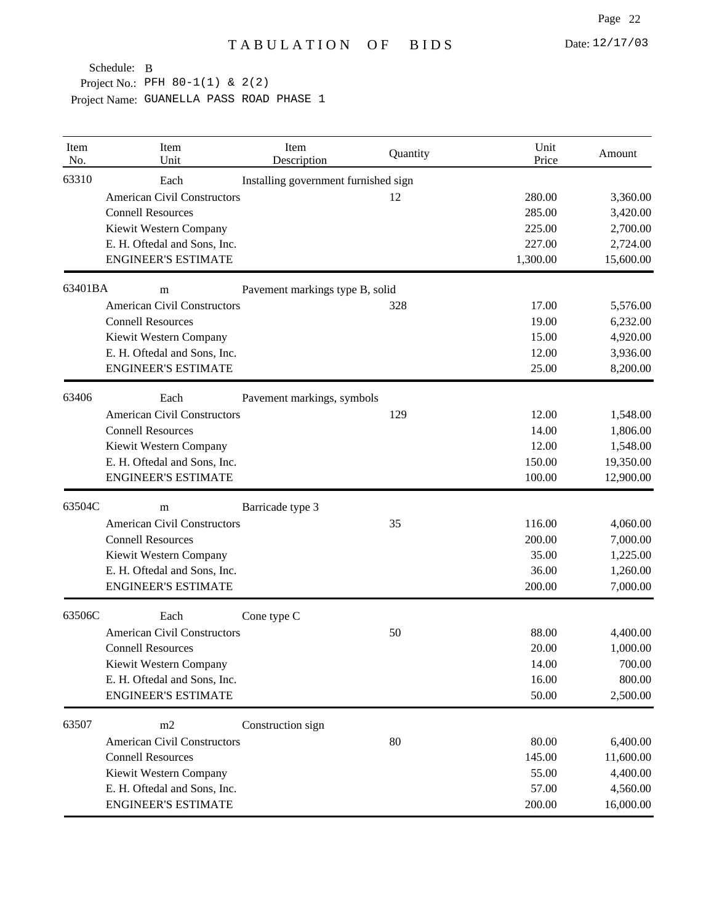| Item<br>No. | Item<br>Unit                       | Item<br>Description                  | Quantity | Unit<br>Price | Amount    |
|-------------|------------------------------------|--------------------------------------|----------|---------------|-----------|
| 63310       | Each                               | Installing government furnished sign |          |               |           |
|             | <b>American Civil Constructors</b> |                                      | 12       | 280.00        | 3,360.00  |
|             | <b>Connell Resources</b>           |                                      |          | 285.00        | 3,420.00  |
|             | Kiewit Western Company             |                                      |          | 225.00        | 2,700.00  |
|             | E. H. Oftedal and Sons, Inc.       |                                      |          | 227.00        | 2,724.00  |
|             | <b>ENGINEER'S ESTIMATE</b>         |                                      |          | 1,300.00      | 15,600.00 |
| 63401BA     | m                                  | Pavement markings type B, solid      |          |               |           |
|             | <b>American Civil Constructors</b> |                                      | 328      | 17.00         | 5,576.00  |
|             | <b>Connell Resources</b>           |                                      |          | 19.00         | 6,232.00  |
|             | Kiewit Western Company             |                                      |          | 15.00         | 4,920.00  |
|             | E. H. Oftedal and Sons, Inc.       |                                      |          | 12.00         | 3,936.00  |
|             | <b>ENGINEER'S ESTIMATE</b>         |                                      |          | 25.00         | 8,200.00  |
| 63406       | Each                               | Pavement markings, symbols           |          |               |           |
|             | <b>American Civil Constructors</b> |                                      | 129      | 12.00         | 1,548.00  |
|             | <b>Connell Resources</b>           |                                      |          | 14.00         | 1,806.00  |
|             | Kiewit Western Company             |                                      |          | 12.00         | 1,548.00  |
|             | E. H. Oftedal and Sons, Inc.       |                                      |          | 150.00        | 19,350.00 |
|             | <b>ENGINEER'S ESTIMATE</b>         |                                      |          | 100.00        | 12,900.00 |
| 63504C      | m                                  | Barricade type 3                     |          |               |           |
|             | <b>American Civil Constructors</b> |                                      | 35       | 116.00        | 4,060.00  |
|             | <b>Connell Resources</b>           |                                      |          | 200.00        | 7,000.00  |
|             | Kiewit Western Company             |                                      |          | 35.00         | 1,225.00  |
|             | E. H. Oftedal and Sons, Inc.       |                                      |          | 36.00         | 1,260.00  |
|             | <b>ENGINEER'S ESTIMATE</b>         |                                      |          | 200.00        | 7,000.00  |
| 63506C      | Each                               | Cone type C                          |          |               |           |
|             | <b>American Civil Constructors</b> |                                      | 50       | 88.00         | 4,400.00  |
|             | <b>Connell Resources</b>           |                                      |          | 20.00         | 1,000.00  |
|             | Kiewit Western Company             |                                      |          | 14.00         | 700.00    |
|             | E. H. Oftedal and Sons, Inc.       |                                      |          | 16.00         | 800.00    |
|             | <b>ENGINEER'S ESTIMATE</b>         |                                      |          | 50.00         | 2,500.00  |
| 63507       | m2                                 | Construction sign                    |          |               |           |
|             | <b>American Civil Constructors</b> |                                      | 80       | 80.00         | 6,400.00  |
|             | <b>Connell Resources</b>           |                                      |          | 145.00        | 11,600.00 |
|             | Kiewit Western Company             |                                      |          | 55.00         | 4,400.00  |
|             | E. H. Oftedal and Sons, Inc.       |                                      |          | 57.00         | 4,560.00  |
|             | <b>ENGINEER'S ESTIMATE</b>         |                                      |          | 200.00        | 16,000.00 |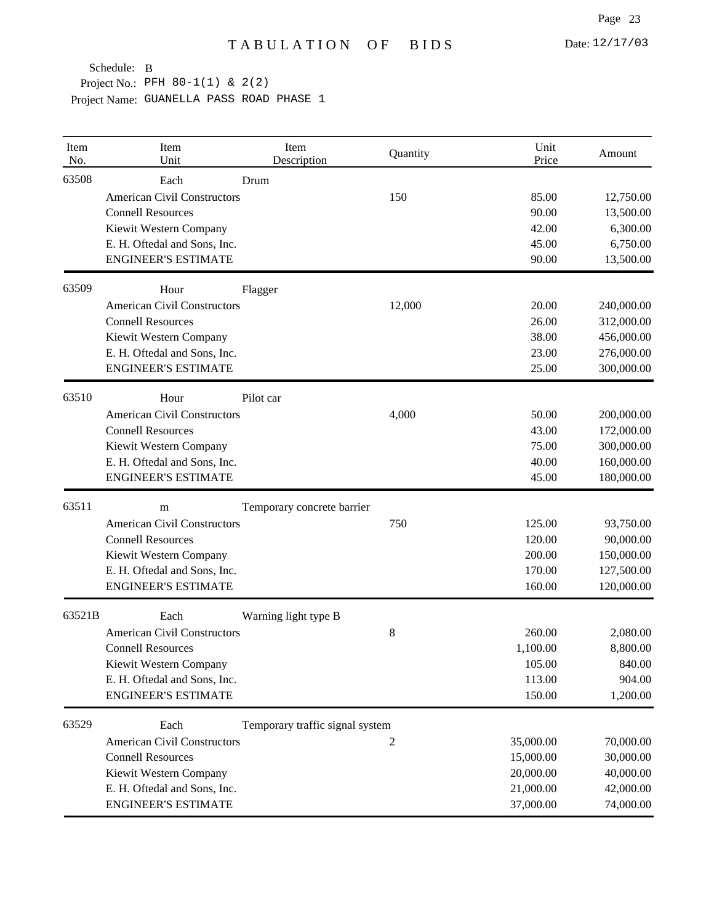| Item<br>No. | Item<br>Unit                               | Item<br>Description             | Quantity       | Unit<br>Price | Amount     |
|-------------|--------------------------------------------|---------------------------------|----------------|---------------|------------|
| 63508       | Each<br><b>American Civil Constructors</b> | Drum                            | 150            | 85.00         | 12,750.00  |
|             | <b>Connell Resources</b>                   |                                 |                | 90.00         | 13,500.00  |
|             | Kiewit Western Company                     |                                 |                | 42.00         | 6,300.00   |
|             | E. H. Oftedal and Sons, Inc.               |                                 |                | 45.00         | 6,750.00   |
|             | <b>ENGINEER'S ESTIMATE</b>                 |                                 |                | 90.00         | 13,500.00  |
| 63509       | Hour                                       | Flagger                         |                |               |            |
|             | <b>American Civil Constructors</b>         |                                 | 12,000         | 20.00         | 240,000.00 |
|             | <b>Connell Resources</b>                   |                                 |                | 26.00         | 312,000.00 |
|             | Kiewit Western Company                     |                                 |                | 38.00         | 456,000.00 |
|             | E. H. Oftedal and Sons, Inc.               |                                 |                | 23.00         | 276,000.00 |
|             | <b>ENGINEER'S ESTIMATE</b>                 |                                 |                | 25.00         | 300,000.00 |
| 63510       | Hour                                       | Pilot car                       |                |               |            |
|             | <b>American Civil Constructors</b>         |                                 | 4,000          | 50.00         | 200,000.00 |
|             | <b>Connell Resources</b>                   |                                 |                | 43.00         | 172,000.00 |
|             | Kiewit Western Company                     |                                 |                | 75.00         | 300,000.00 |
|             | E. H. Oftedal and Sons, Inc.               |                                 |                | 40.00         | 160,000.00 |
|             | <b>ENGINEER'S ESTIMATE</b>                 |                                 |                | 45.00         | 180,000.00 |
| 63511       | m                                          | Temporary concrete barrier      |                |               |            |
|             | <b>American Civil Constructors</b>         |                                 | 750            | 125.00        | 93,750.00  |
|             | <b>Connell Resources</b>                   |                                 |                | 120.00        | 90,000.00  |
|             | Kiewit Western Company                     |                                 |                | 200.00        | 150,000.00 |
|             | E. H. Oftedal and Sons, Inc.               |                                 |                | 170.00        | 127,500.00 |
|             | <b>ENGINEER'S ESTIMATE</b>                 |                                 |                | 160.00        | 120,000.00 |
| 63521B      | Each                                       | Warning light type B            |                |               |            |
|             | <b>American Civil Constructors</b>         |                                 | 8              | 260.00        | 2,080.00   |
|             | <b>Connell Resources</b>                   |                                 |                | 1,100.00      | 8,800.00   |
|             | Kiewit Western Company                     |                                 |                | 105.00        | 840.00     |
|             | E. H. Oftedal and Sons, Inc.               |                                 |                | 113.00        | 904.00     |
|             | <b>ENGINEER'S ESTIMATE</b>                 |                                 |                | 150.00        | 1,200.00   |
| 63529       | Each                                       | Temporary traffic signal system |                |               |            |
|             | <b>American Civil Constructors</b>         |                                 | $\overline{c}$ | 35,000.00     | 70,000.00  |
|             | <b>Connell Resources</b>                   |                                 |                | 15,000.00     | 30,000.00  |
|             | Kiewit Western Company                     |                                 |                | 20,000.00     | 40,000.00  |
|             | E. H. Oftedal and Sons, Inc.               |                                 |                | 21,000.00     | 42,000.00  |
|             | <b>ENGINEER'S ESTIMATE</b>                 |                                 |                | 37,000.00     | 74,000.00  |